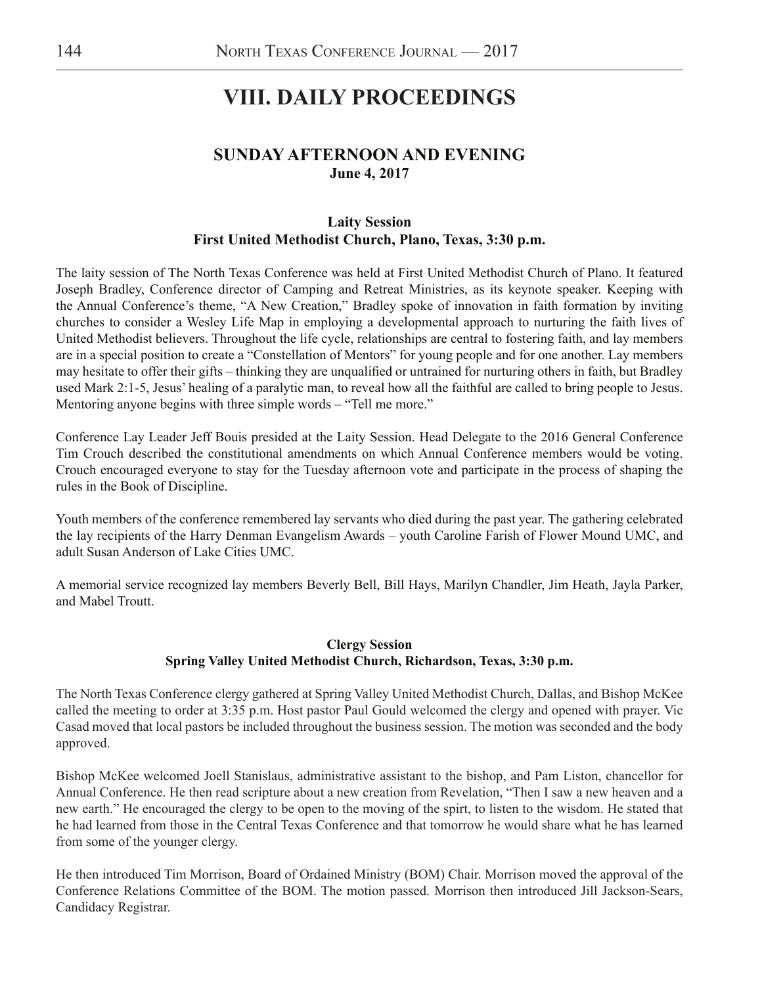# **VIII. DAILY PROCEEDINGS**

# **SUNDAY AFTERNOON AND EVENING June 4, 2017**

# **Laity Session First United Methodist Church, Plano, Texas, 3:30 p.m.**

The laity session of The North Texas Conference was held at First United Methodist Church of Plano. It featured Joseph Bradley, Conference director of Camping and Retreat Ministries, as its keynote speaker. Keeping with the Annual Conference's theme, "A New Creation," Bradley spoke of innovation in faith formation by inviting churches to consider a Wesley Life Map in employing a developmental approach to nurturing the faith lives of United Methodist believers. Throughout the life cycle, relationships are central to fostering faith, and lay members are in a special position to create a "Constellation of Mentors" for young people and for one another. Lay members may hesitate to offer their gifts – thinking they are unqualified or untrained for nurturing others in faith, but Bradley used Mark 2:1-5, Jesus' healing of a paralytic man, to reveal how all the faithful are called to bring people to Jesus. Mentoring anyone begins with three simple words – "Tell me more."

Conference Lay Leader Jeff Bouis presided at the Laity Session. Head Delegate to the 2016 General Conference Tim Crouch described the constitutional amendments on which Annual Conference members would be voting. Crouch encouraged everyone to stay for the Tuesday afternoon vote and participate in the process of shaping the rules in the Book of Discipline.

Youth members of the conference remembered lay servants who died during the past year. The gathering celebrated the lay recipients of the Harry Denman Evangelism Awards – youth Caroline Farish of Flower Mound UMC, and adult Susan Anderson of Lake Cities UMC.

A memorial service recognized lay members Beverly Bell, Bill Hays, Marilyn Chandler, Jim Heath, Jayla Parker, and Mabel Troutt.

# **Clergy Session Spring Valley United Methodist Church, Richardson, Texas, 3:30 p.m.**

The North Texas Conference clergy gathered at Spring Valley United Methodist Church, Dallas, and Bishop McKee called the meeting to order at 3:35 p.m. Host pastor Paul Gould welcomed the clergy and opened with prayer. Vic Casad moved that local pastors be included throughout the business session. The motion was seconded and the body approved.

Bishop McKee welcomed Joell Stanislaus, administrative assistant to the bishop, and Pam Liston, chancellor for Annual Conference. He then read scripture about a new creation from Revelation, "Then I saw a new heaven and a new earth." He encouraged the clergy to be open to the moving of the spirt, to listen to the wisdom. He stated that he had learned from those in the Central Texas Conference and that tomorrow he would share what he has learned from some of the younger clergy.

He then introduced Tim Morrison, Board of Ordained Ministry (BOM) Chair. Morrison moved the approval of the Conference Relations Committee of the BOM. The motion passed. Morrison then introduced Jill Jackson-Sears, Candidacy Registrar.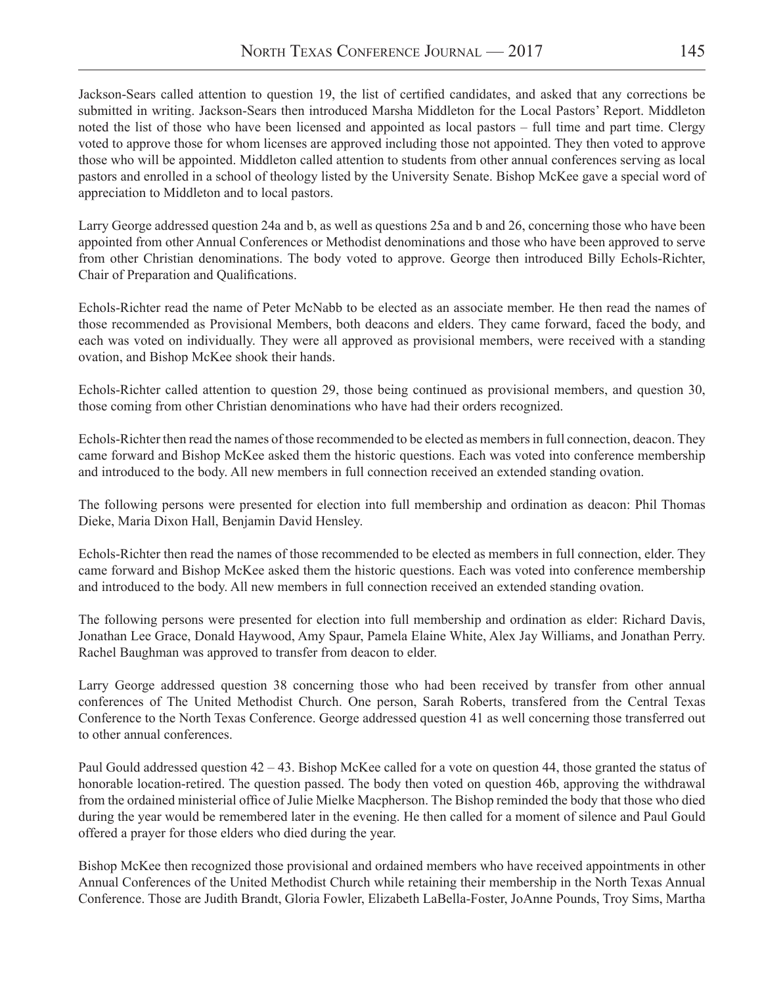Jackson-Sears called attention to question 19, the list of certified candidates, and asked that any corrections be submitted in writing. Jackson-Sears then introduced Marsha Middleton for the Local Pastors' Report. Middleton noted the list of those who have been licensed and appointed as local pastors – full time and part time. Clergy voted to approve those for whom licenses are approved including those not appointed. They then voted to approve those who will be appointed. Middleton called attention to students from other annual conferences serving as local pastors and enrolled in a school of theology listed by the University Senate. Bishop McKee gave a special word of appreciation to Middleton and to local pastors.

Larry George addressed question 24a and b, as well as questions 25a and b and 26, concerning those who have been appointed from other Annual Conferences or Methodist denominations and those who have been approved to serve from other Christian denominations. The body voted to approve. George then introduced Billy Echols-Richter, Chair of Preparation and Qualifications.

Echols-Richter read the name of Peter McNabb to be elected as an associate member. He then read the names of those recommended as Provisional Members, both deacons and elders. They came forward, faced the body, and each was voted on individually. They were all approved as provisional members, were received with a standing ovation, and Bishop McKee shook their hands.

Echols-Richter called attention to question 29, those being continued as provisional members, and question 30, those coming from other Christian denominations who have had their orders recognized.

Echols-Richter then read the names of those recommended to be elected as members in full connection, deacon. They came forward and Bishop McKee asked them the historic questions. Each was voted into conference membership and introduced to the body. All new members in full connection received an extended standing ovation.

The following persons were presented for election into full membership and ordination as deacon: Phil Thomas Dieke, Maria Dixon Hall, Benjamin David Hensley.

Echols-Richter then read the names of those recommended to be elected as members in full connection, elder. They came forward and Bishop McKee asked them the historic questions. Each was voted into conference membership and introduced to the body. All new members in full connection received an extended standing ovation.

The following persons were presented for election into full membership and ordination as elder: Richard Davis, Jonathan Lee Grace, Donald Haywood, Amy Spaur, Pamela Elaine White, Alex Jay Williams, and Jonathan Perry. Rachel Baughman was approved to transfer from deacon to elder.

Larry George addressed question 38 concerning those who had been received by transfer from other annual conferences of The United Methodist Church. One person, Sarah Roberts, transfered from the Central Texas Conference to the North Texas Conference. George addressed question 41 as well concerning those transferred out to other annual conferences.

Paul Gould addressed question 42 – 43. Bishop McKee called for a vote on question 44, those granted the status of honorable location-retired. The question passed. The body then voted on question 46b, approving the withdrawal from the ordained ministerial office of Julie Mielke Macpherson. The Bishop reminded the body that those who died during the year would be remembered later in the evening. He then called for a moment of silence and Paul Gould offered a prayer for those elders who died during the year.

Bishop McKee then recognized those provisional and ordained members who have received appointments in other Annual Conferences of the United Methodist Church while retaining their membership in the North Texas Annual Conference. Those are Judith Brandt, Gloria Fowler, Elizabeth LaBella-Foster, JoAnne Pounds, Troy Sims, Martha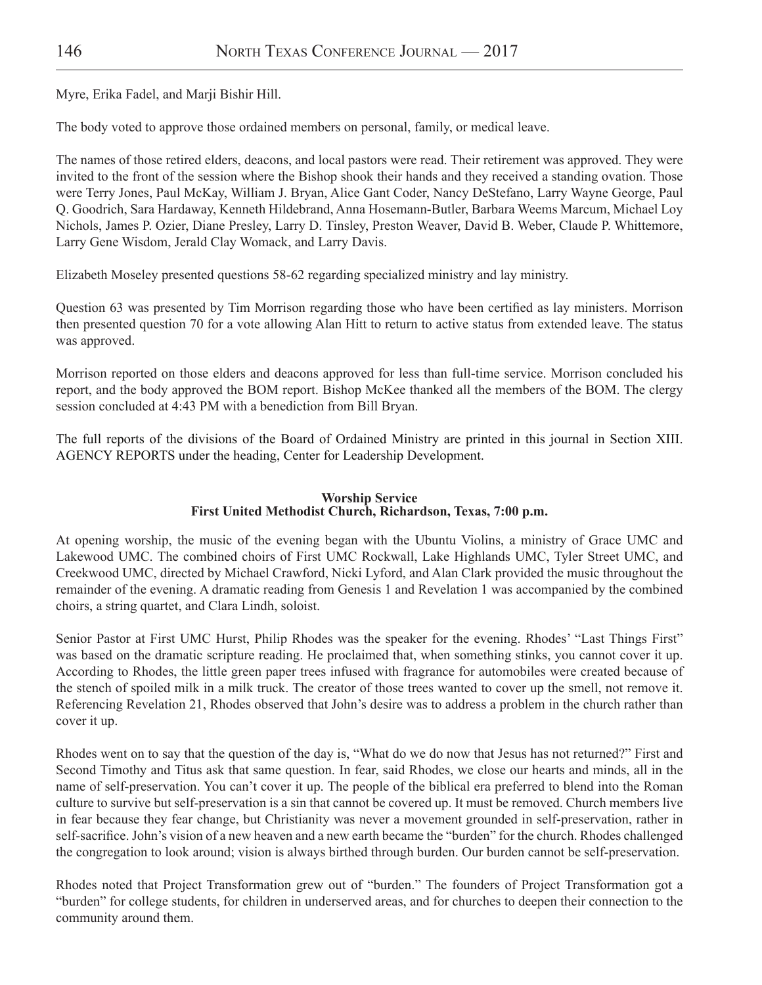Myre, Erika Fadel, and Marji Bishir Hill.

The body voted to approve those ordained members on personal, family, or medical leave.

The names of those retired elders, deacons, and local pastors were read. Their retirement was approved. They were invited to the front of the session where the Bishop shook their hands and they received a standing ovation. Those were Terry Jones, Paul McKay, William J. Bryan, Alice Gant Coder, Nancy DeStefano, Larry Wayne George, Paul Q. Goodrich, Sara Hardaway, Kenneth Hildebrand, Anna Hosemann-Butler, Barbara Weems Marcum, Michael Loy Nichols, James P. Ozier, Diane Presley, Larry D. Tinsley, Preston Weaver, David B. Weber, Claude P. Whittemore, Larry Gene Wisdom, Jerald Clay Womack, and Larry Davis.

Elizabeth Moseley presented questions 58-62 regarding specialized ministry and lay ministry.

Question 63 was presented by Tim Morrison regarding those who have been certified as lay ministers. Morrison then presented question 70 for a vote allowing Alan Hitt to return to active status from extended leave. The status was approved.

Morrison reported on those elders and deacons approved for less than full-time service. Morrison concluded his report, and the body approved the BOM report. Bishop McKee thanked all the members of the BOM. The clergy session concluded at 4:43 PM with a benediction from Bill Bryan.

The full reports of the divisions of the Board of Ordained Ministry are printed in this journal in Section XIII. AGENCY REPORTS under the heading, Center for Leadership Development.

#### **Worship Service First United Methodist Church, Richardson, Texas, 7:00 p.m.**

At opening worship, the music of the evening began with the Ubuntu Violins, a ministry of Grace UMC and Lakewood UMC. The combined choirs of First UMC Rockwall, Lake Highlands UMC, Tyler Street UMC, and Creekwood UMC, directed by Michael Crawford, Nicki Lyford, and Alan Clark provided the music throughout the remainder of the evening. A dramatic reading from Genesis 1 and Revelation 1 was accompanied by the combined choirs, a string quartet, and Clara Lindh, soloist.

Senior Pastor at First UMC Hurst, Philip Rhodes was the speaker for the evening. Rhodes' "Last Things First" was based on the dramatic scripture reading. He proclaimed that, when something stinks, you cannot cover it up. According to Rhodes, the little green paper trees infused with fragrance for automobiles were created because of the stench of spoiled milk in a milk truck. The creator of those trees wanted to cover up the smell, not remove it. Referencing Revelation 21, Rhodes observed that John's desire was to address a problem in the church rather than cover it up.

Rhodes went on to say that the question of the day is, "What do we do now that Jesus has not returned?" First and Second Timothy and Titus ask that same question. In fear, said Rhodes, we close our hearts and minds, all in the name of self-preservation. You can't cover it up. The people of the biblical era preferred to blend into the Roman culture to survive but self-preservation is a sin that cannot be covered up. It must be removed. Church members live in fear because they fear change, but Christianity was never a movement grounded in self-preservation, rather in self-sacrifice. John's vision of a new heaven and a new earth became the "burden" for the church. Rhodes challenged the congregation to look around; vision is always birthed through burden. Our burden cannot be self-preservation.

Rhodes noted that Project Transformation grew out of "burden." The founders of Project Transformation got a "burden" for college students, for children in underserved areas, and for churches to deepen their connection to the community around them.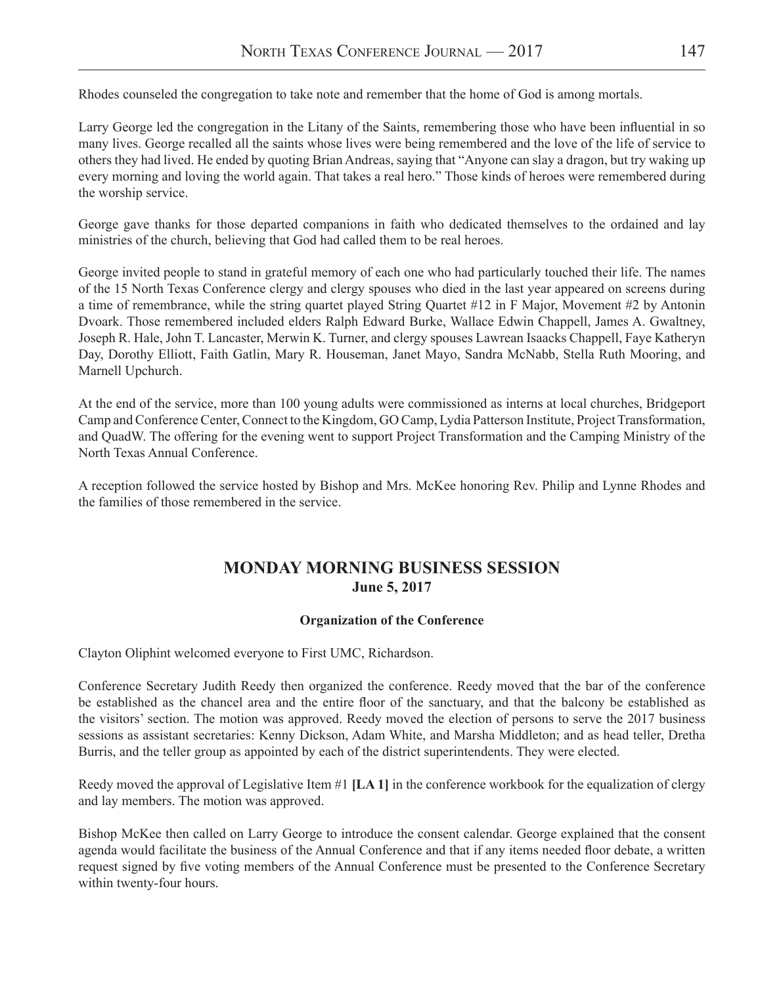Rhodes counseled the congregation to take note and remember that the home of God is among mortals.

Larry George led the congregation in the Litany of the Saints, remembering those who have been influential in so many lives. George recalled all the saints whose lives were being remembered and the love of the life of service to others they had lived. He ended by quoting Brian Andreas, saying that "Anyone can slay a dragon, but try waking up every morning and loving the world again. That takes a real hero." Those kinds of heroes were remembered during the worship service.

George gave thanks for those departed companions in faith who dedicated themselves to the ordained and lay ministries of the church, believing that God had called them to be real heroes.

George invited people to stand in grateful memory of each one who had particularly touched their life. The names of the 15 North Texas Conference clergy and clergy spouses who died in the last year appeared on screens during a time of remembrance, while the string quartet played String Quartet #12 in F Major, Movement #2 by Antonin Dvoark. Those remembered included elders Ralph Edward Burke, Wallace Edwin Chappell, James A. Gwaltney, Joseph R. Hale, John T. Lancaster, Merwin K. Turner, and clergy spouses Lawrean Isaacks Chappell, Faye Katheryn Day, Dorothy Elliott, Faith Gatlin, Mary R. Houseman, Janet Mayo, Sandra McNabb, Stella Ruth Mooring, and Marnell Upchurch.

At the end of the service, more than 100 young adults were commissioned as interns at local churches, Bridgeport Camp and Conference Center, Connect to the Kingdom, GO Camp, Lydia Patterson Institute, Project Transformation, and QuadW. The offering for the evening went to support Project Transformation and the Camping Ministry of the North Texas Annual Conference.

A reception followed the service hosted by Bishop and Mrs. McKee honoring Rev. Philip and Lynne Rhodes and the families of those remembered in the service.

# **MONDAY MORNING BUSINESS SESSION June 5, 2017**

#### **Organization of the Conference**

Clayton Oliphint welcomed everyone to First UMC, Richardson.

Conference Secretary Judith Reedy then organized the conference. Reedy moved that the bar of the conference be established as the chancel area and the entire floor of the sanctuary, and that the balcony be established as the visitors' section. The motion was approved. Reedy moved the election of persons to serve the 2017 business sessions as assistant secretaries: Kenny Dickson, Adam White, and Marsha Middleton; and as head teller, Dretha Burris, and the teller group as appointed by each of the district superintendents. They were elected.

Reedy moved the approval of Legislative Item #1 **[LA 1]** in the conference workbook for the equalization of clergy and lay members. The motion was approved.

Bishop McKee then called on Larry George to introduce the consent calendar. George explained that the consent agenda would facilitate the business of the Annual Conference and that if any items needed floor debate, a written request signed by five voting members of the Annual Conference must be presented to the Conference Secretary within twenty-four hours.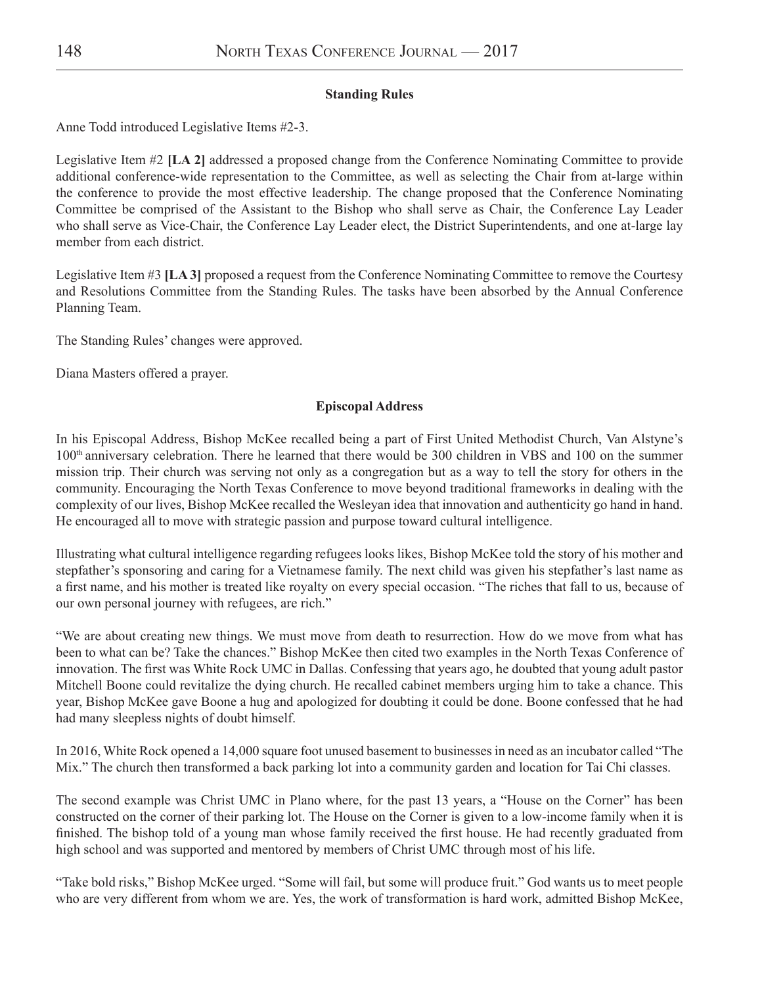### **Standing Rules**

Anne Todd introduced Legislative Items #2-3.

Legislative Item #2 **[LA 2]** addressed a proposed change from the Conference Nominating Committee to provide additional conference-wide representation to the Committee, as well as selecting the Chair from at-large within the conference to provide the most effective leadership. The change proposed that the Conference Nominating Committee be comprised of the Assistant to the Bishop who shall serve as Chair, the Conference Lay Leader who shall serve as Vice-Chair, the Conference Lay Leader elect, the District Superintendents, and one at-large lay member from each district.

Legislative Item #3 **[LA 3]** proposed a request from the Conference Nominating Committee to remove the Courtesy and Resolutions Committee from the Standing Rules. The tasks have been absorbed by the Annual Conference Planning Team.

The Standing Rules' changes were approved.

Diana Masters offered a prayer.

### **Episcopal Address**

In his Episcopal Address, Bishop McKee recalled being a part of First United Methodist Church, Van Alstyne's 100th anniversary celebration. There he learned that there would be 300 children in VBS and 100 on the summer mission trip. Their church was serving not only as a congregation but as a way to tell the story for others in the community. Encouraging the North Texas Conference to move beyond traditional frameworks in dealing with the complexity of our lives, Bishop McKee recalled the Wesleyan idea that innovation and authenticity go hand in hand. He encouraged all to move with strategic passion and purpose toward cultural intelligence.

Illustrating what cultural intelligence regarding refugees looks likes, Bishop McKee told the story of his mother and stepfather's sponsoring and caring for a Vietnamese family. The next child was given his stepfather's last name as a first name, and his mother is treated like royalty on every special occasion. "The riches that fall to us, because of our own personal journey with refugees, are rich."

"We are about creating new things. We must move from death to resurrection. How do we move from what has been to what can be? Take the chances." Bishop McKee then cited two examples in the North Texas Conference of innovation. The first was White Rock UMC in Dallas. Confessing that years ago, he doubted that young adult pastor Mitchell Boone could revitalize the dying church. He recalled cabinet members urging him to take a chance. This year, Bishop McKee gave Boone a hug and apologized for doubting it could be done. Boone confessed that he had had many sleepless nights of doubt himself.

In 2016, White Rock opened a 14,000 square foot unused basement to businesses in need as an incubator called "The Mix." The church then transformed a back parking lot into a community garden and location for Tai Chi classes.

The second example was Christ UMC in Plano where, for the past 13 years, a "House on the Corner" has been constructed on the corner of their parking lot. The House on the Corner is given to a low-income family when it is finished. The bishop told of a young man whose family received the first house. He had recently graduated from high school and was supported and mentored by members of Christ UMC through most of his life.

"Take bold risks," Bishop McKee urged. "Some will fail, but some will produce fruit." God wants us to meet people who are very different from whom we are. Yes, the work of transformation is hard work, admitted Bishop McKee,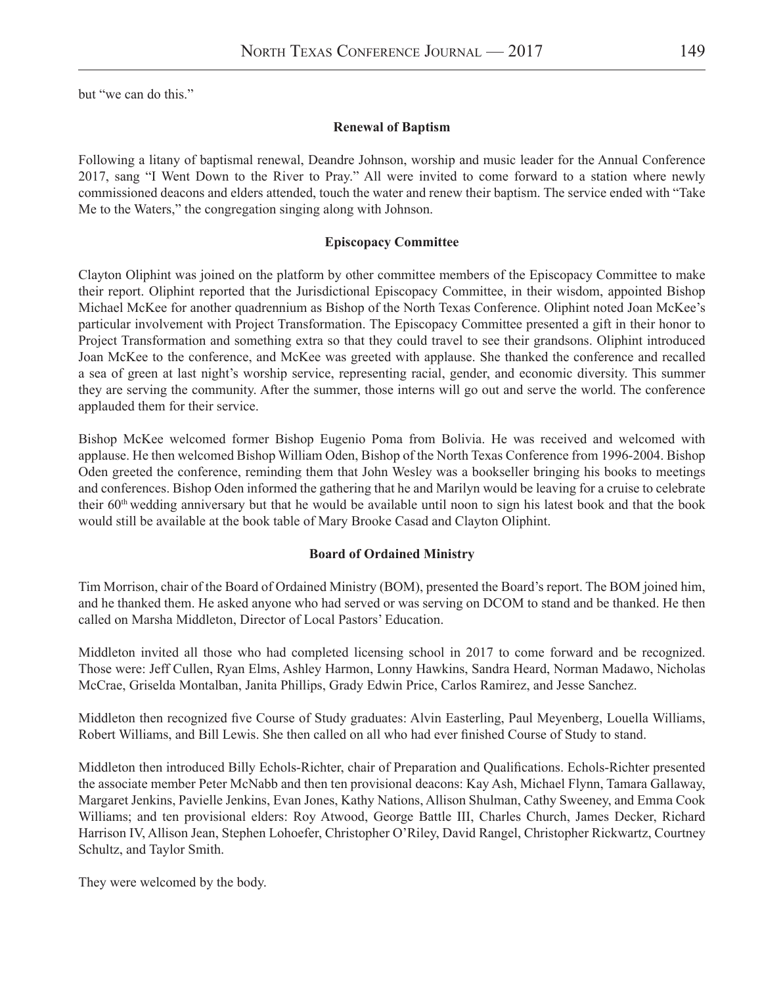but "we can do this."

#### **Renewal of Baptism**

Following a litany of baptismal renewal, Deandre Johnson, worship and music leader for the Annual Conference 2017, sang "I Went Down to the River to Pray." All were invited to come forward to a station where newly commissioned deacons and elders attended, touch the water and renew their baptism. The service ended with "Take Me to the Waters," the congregation singing along with Johnson.

#### **Episcopacy Committee**

Clayton Oliphint was joined on the platform by other committee members of the Episcopacy Committee to make their report. Oliphint reported that the Jurisdictional Episcopacy Committee, in their wisdom, appointed Bishop Michael McKee for another quadrennium as Bishop of the North Texas Conference. Oliphint noted Joan McKee's particular involvement with Project Transformation. The Episcopacy Committee presented a gift in their honor to Project Transformation and something extra so that they could travel to see their grandsons. Oliphint introduced Joan McKee to the conference, and McKee was greeted with applause. She thanked the conference and recalled a sea of green at last night's worship service, representing racial, gender, and economic diversity. This summer they are serving the community. After the summer, those interns will go out and serve the world. The conference applauded them for their service.

Bishop McKee welcomed former Bishop Eugenio Poma from Bolivia. He was received and welcomed with applause. He then welcomed Bishop William Oden, Bishop of the North Texas Conference from 1996-2004. Bishop Oden greeted the conference, reminding them that John Wesley was a bookseller bringing his books to meetings and conferences. Bishop Oden informed the gathering that he and Marilyn would be leaving for a cruise to celebrate their 60th wedding anniversary but that he would be available until noon to sign his latest book and that the book would still be available at the book table of Mary Brooke Casad and Clayton Oliphint.

### **Board of Ordained Ministry**

Tim Morrison, chair of the Board of Ordained Ministry (BOM), presented the Board's report. The BOM joined him, and he thanked them. He asked anyone who had served or was serving on DCOM to stand and be thanked. He then called on Marsha Middleton, Director of Local Pastors' Education.

Middleton invited all those who had completed licensing school in 2017 to come forward and be recognized. Those were: Jeff Cullen, Ryan Elms, Ashley Harmon, Lonny Hawkins, Sandra Heard, Norman Madawo, Nicholas McCrae, Griselda Montalban, Janita Phillips, Grady Edwin Price, Carlos Ramirez, and Jesse Sanchez.

Middleton then recognized five Course of Study graduates: Alvin Easterling, Paul Meyenberg, Louella Williams, Robert Williams, and Bill Lewis. She then called on all who had ever finished Course of Study to stand.

Middleton then introduced Billy Echols-Richter, chair of Preparation and Qualifications. Echols-Richter presented the associate member Peter McNabb and then ten provisional deacons: Kay Ash, Michael Flynn, Tamara Gallaway, Margaret Jenkins, Pavielle Jenkins, Evan Jones, Kathy Nations, Allison Shulman, Cathy Sweeney, and Emma Cook Williams; and ten provisional elders: Roy Atwood, George Battle III, Charles Church, James Decker, Richard Harrison IV, Allison Jean, Stephen Lohoefer, Christopher O'Riley, David Rangel, Christopher Rickwartz, Courtney Schultz, and Taylor Smith.

They were welcomed by the body.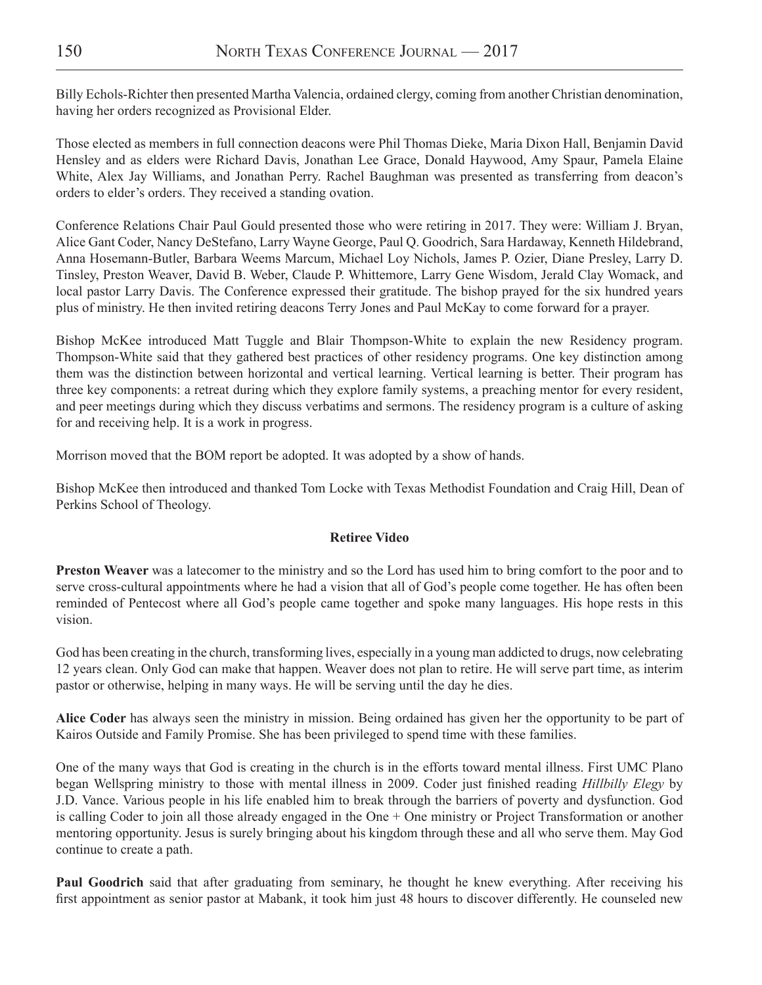Billy Echols-Richter then presented Martha Valencia, ordained clergy, coming from another Christian denomination, having her orders recognized as Provisional Elder.

Those elected as members in full connection deacons were Phil Thomas Dieke, Maria Dixon Hall, Benjamin David Hensley and as elders were Richard Davis, Jonathan Lee Grace, Donald Haywood, Amy Spaur, Pamela Elaine White, Alex Jay Williams, and Jonathan Perry. Rachel Baughman was presented as transferring from deacon's orders to elder's orders. They received a standing ovation.

Conference Relations Chair Paul Gould presented those who were retiring in 2017. They were: William J. Bryan, Alice Gant Coder, Nancy DeStefano, Larry Wayne George, Paul Q. Goodrich, Sara Hardaway, Kenneth Hildebrand, Anna Hosemann-Butler, Barbara Weems Marcum, Michael Loy Nichols, James P. Ozier, Diane Presley, Larry D. Tinsley, Preston Weaver, David B. Weber, Claude P. Whittemore, Larry Gene Wisdom, Jerald Clay Womack, and local pastor Larry Davis. The Conference expressed their gratitude. The bishop prayed for the six hundred years plus of ministry. He then invited retiring deacons Terry Jones and Paul McKay to come forward for a prayer.

Bishop McKee introduced Matt Tuggle and Blair Thompson-White to explain the new Residency program. Thompson-White said that they gathered best practices of other residency programs. One key distinction among them was the distinction between horizontal and vertical learning. Vertical learning is better. Their program has three key components: a retreat during which they explore family systems, a preaching mentor for every resident, and peer meetings during which they discuss verbatims and sermons. The residency program is a culture of asking for and receiving help. It is a work in progress.

Morrison moved that the BOM report be adopted. It was adopted by a show of hands.

Bishop McKee then introduced and thanked Tom Locke with Texas Methodist Foundation and Craig Hill, Dean of Perkins School of Theology.

# **Retiree Video**

**Preston Weaver** was a latecomer to the ministry and so the Lord has used him to bring comfort to the poor and to serve cross-cultural appointments where he had a vision that all of God's people come together. He has often been reminded of Pentecost where all God's people came together and spoke many languages. His hope rests in this vision.

God has been creating in the church, transforming lives, especially in a young man addicted to drugs, now celebrating 12 years clean. Only God can make that happen. Weaver does not plan to retire. He will serve part time, as interim pastor or otherwise, helping in many ways. He will be serving until the day he dies.

**Alice Coder** has always seen the ministry in mission. Being ordained has given her the opportunity to be part of Kairos Outside and Family Promise. She has been privileged to spend time with these families.

One of the many ways that God is creating in the church is in the efforts toward mental illness. First UMC Plano began Wellspring ministry to those with mental illness in 2009. Coder just finished reading *Hillbilly Elegy* by J.D. Vance. Various people in his life enabled him to break through the barriers of poverty and dysfunction. God is calling Coder to join all those already engaged in the One + One ministry or Project Transformation or another mentoring opportunity. Jesus is surely bringing about his kingdom through these and all who serve them. May God continue to create a path.

**Paul Goodrich** said that after graduating from seminary, he thought he knew everything. After receiving his first appointment as senior pastor at Mabank, it took him just 48 hours to discover differently. He counseled new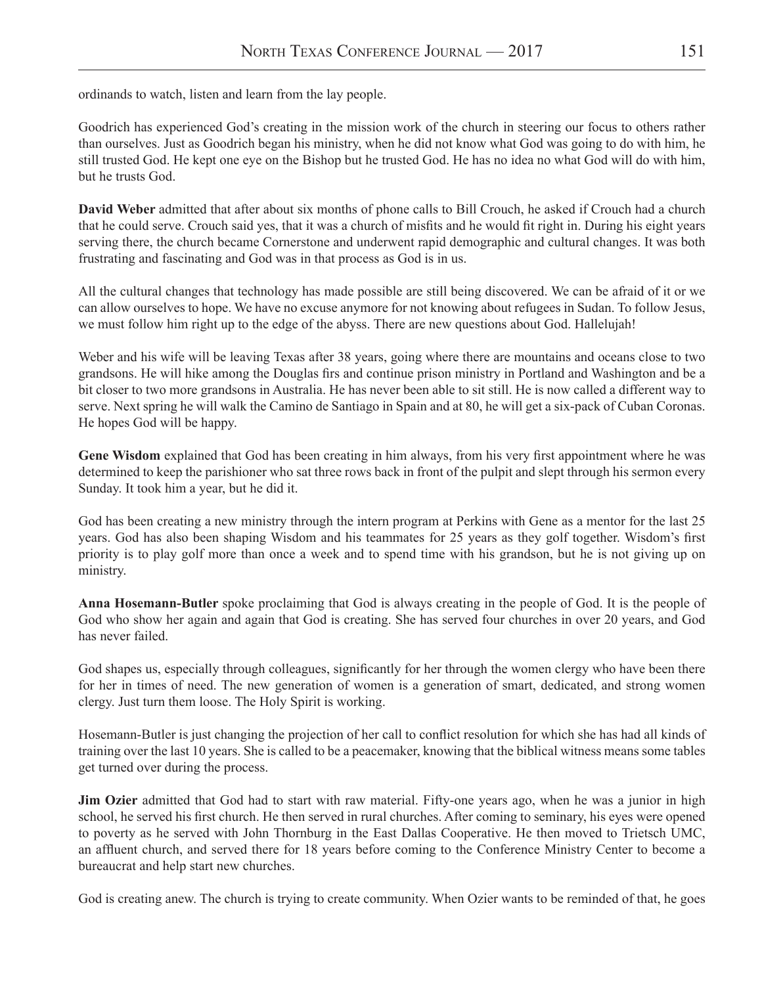ordinands to watch, listen and learn from the lay people.

Goodrich has experienced God's creating in the mission work of the church in steering our focus to others rather than ourselves. Just as Goodrich began his ministry, when he did not know what God was going to do with him, he still trusted God. He kept one eye on the Bishop but he trusted God. He has no idea no what God will do with him, but he trusts God.

**David Weber** admitted that after about six months of phone calls to Bill Crouch, he asked if Crouch had a church that he could serve. Crouch said yes, that it was a church of misfits and he would fit right in. During his eight years serving there, the church became Cornerstone and underwent rapid demographic and cultural changes. It was both frustrating and fascinating and God was in that process as God is in us.

All the cultural changes that technology has made possible are still being discovered. We can be afraid of it or we can allow ourselves to hope. We have no excuse anymore for not knowing about refugees in Sudan. To follow Jesus, we must follow him right up to the edge of the abyss. There are new questions about God. Hallelujah!

Weber and his wife will be leaving Texas after 38 years, going where there are mountains and oceans close to two grandsons. He will hike among the Douglas firs and continue prison ministry in Portland and Washington and be a bit closer to two more grandsons in Australia. He has never been able to sit still. He is now called a different way to serve. Next spring he will walk the Camino de Santiago in Spain and at 80, he will get a six-pack of Cuban Coronas. He hopes God will be happy.

**Gene Wisdom** explained that God has been creating in him always, from his very first appointment where he was determined to keep the parishioner who sat three rows back in front of the pulpit and slept through his sermon every Sunday. It took him a year, but he did it.

God has been creating a new ministry through the intern program at Perkins with Gene as a mentor for the last 25 years. God has also been shaping Wisdom and his teammates for 25 years as they golf together. Wisdom's first priority is to play golf more than once a week and to spend time with his grandson, but he is not giving up on ministry.

**Anna Hosemann-Butler** spoke proclaiming that God is always creating in the people of God. It is the people of God who show her again and again that God is creating. She has served four churches in over 20 years, and God has never failed.

God shapes us, especially through colleagues, significantly for her through the women clergy who have been there for her in times of need. The new generation of women is a generation of smart, dedicated, and strong women clergy. Just turn them loose. The Holy Spirit is working.

Hosemann-Butler is just changing the projection of her call to conflict resolution for which she has had all kinds of training over the last 10 years. She is called to be a peacemaker, knowing that the biblical witness means some tables get turned over during the process.

**Jim Ozier** admitted that God had to start with raw material. Fifty-one years ago, when he was a junior in high school, he served his first church. He then served in rural churches. After coming to seminary, his eyes were opened to poverty as he served with John Thornburg in the East Dallas Cooperative. He then moved to Trietsch UMC, an affluent church, and served there for 18 years before coming to the Conference Ministry Center to become a bureaucrat and help start new churches.

God is creating anew. The church is trying to create community. When Ozier wants to be reminded of that, he goes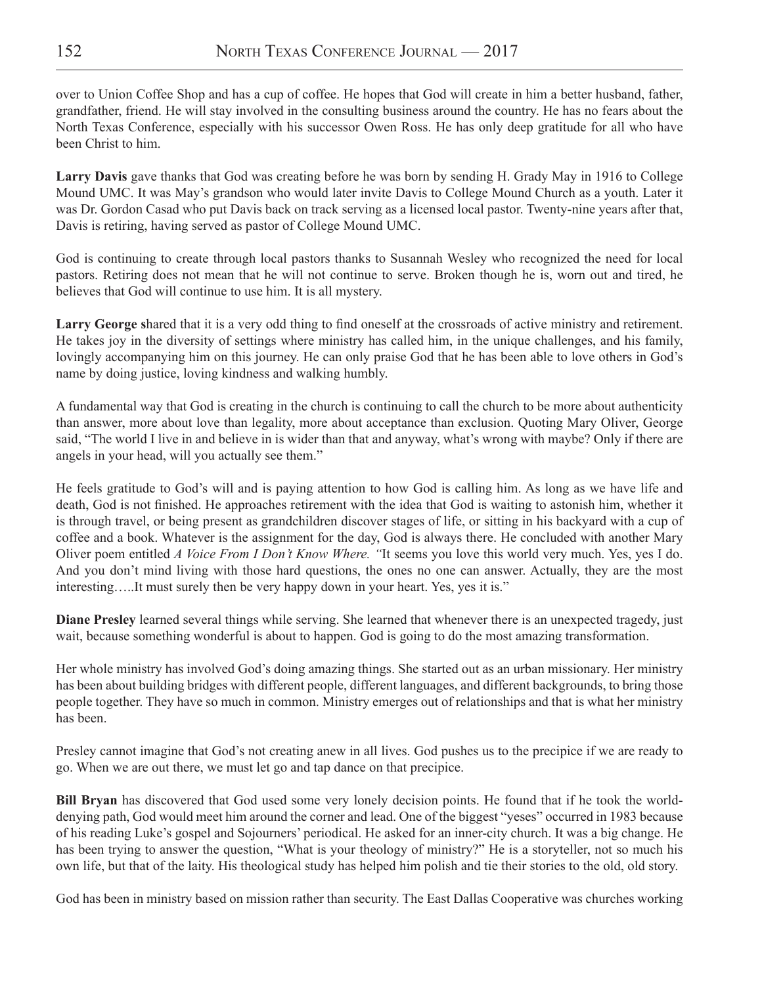over to Union Coffee Shop and has a cup of coffee. He hopes that God will create in him a better husband, father, grandfather, friend. He will stay involved in the consulting business around the country. He has no fears about the North Texas Conference, especially with his successor Owen Ross. He has only deep gratitude for all who have been Christ to him.

**Larry Davis** gave thanks that God was creating before he was born by sending H. Grady May in 1916 to College Mound UMC. It was May's grandson who would later invite Davis to College Mound Church as a youth. Later it was Dr. Gordon Casad who put Davis back on track serving as a licensed local pastor. Twenty-nine years after that, Davis is retiring, having served as pastor of College Mound UMC.

God is continuing to create through local pastors thanks to Susannah Wesley who recognized the need for local pastors. Retiring does not mean that he will not continue to serve. Broken though he is, worn out and tired, he believes that God will continue to use him. It is all mystery.

**Larry George s**hared that it is a very odd thing to find oneself at the crossroads of active ministry and retirement. He takes joy in the diversity of settings where ministry has called him, in the unique challenges, and his family, lovingly accompanying him on this journey. He can only praise God that he has been able to love others in God's name by doing justice, loving kindness and walking humbly.

A fundamental way that God is creating in the church is continuing to call the church to be more about authenticity than answer, more about love than legality, more about acceptance than exclusion. Quoting Mary Oliver, George said, "The world I live in and believe in is wider than that and anyway, what's wrong with maybe? Only if there are angels in your head, will you actually see them."

He feels gratitude to God's will and is paying attention to how God is calling him. As long as we have life and death, God is not finished. He approaches retirement with the idea that God is waiting to astonish him, whether it is through travel, or being present as grandchildren discover stages of life, or sitting in his backyard with a cup of coffee and a book. Whatever is the assignment for the day, God is always there. He concluded with another Mary Oliver poem entitled *A Voice From I Don't Know Where. "*It seems you love this world very much. Yes, yes I do. And you don't mind living with those hard questions, the ones no one can answer. Actually, they are the most interesting…..It must surely then be very happy down in your heart. Yes, yes it is."

**Diane Presley** learned several things while serving. She learned that whenever there is an unexpected tragedy, just wait, because something wonderful is about to happen. God is going to do the most amazing transformation.

Her whole ministry has involved God's doing amazing things. She started out as an urban missionary. Her ministry has been about building bridges with different people, different languages, and different backgrounds, to bring those people together. They have so much in common. Ministry emerges out of relationships and that is what her ministry has been.

Presley cannot imagine that God's not creating anew in all lives. God pushes us to the precipice if we are ready to go. When we are out there, we must let go and tap dance on that precipice.

**Bill Bryan** has discovered that God used some very lonely decision points. He found that if he took the worlddenying path, God would meet him around the corner and lead. One of the biggest "yeses" occurred in 1983 because of his reading Luke's gospel and Sojourners' periodical. He asked for an inner-city church. It was a big change. He has been trying to answer the question, "What is your theology of ministry?" He is a storyteller, not so much his own life, but that of the laity. His theological study has helped him polish and tie their stories to the old, old story.

God has been in ministry based on mission rather than security. The East Dallas Cooperative was churches working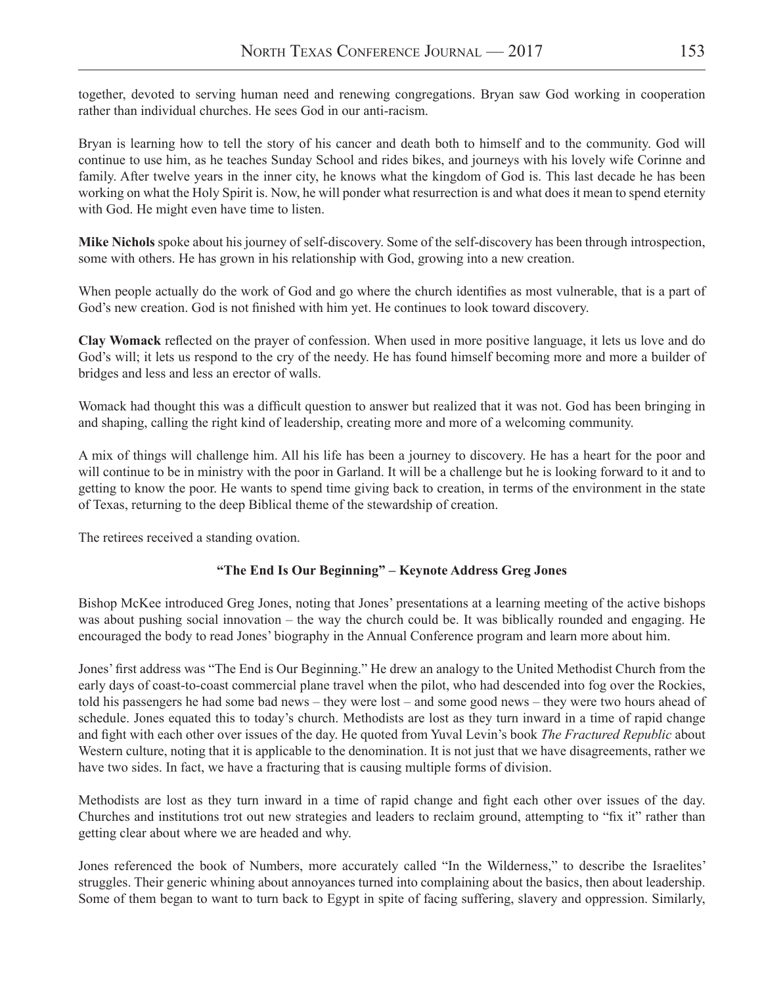together, devoted to serving human need and renewing congregations. Bryan saw God working in cooperation rather than individual churches. He sees God in our anti-racism.

Bryan is learning how to tell the story of his cancer and death both to himself and to the community. God will continue to use him, as he teaches Sunday School and rides bikes, and journeys with his lovely wife Corinne and family. After twelve years in the inner city, he knows what the kingdom of God is. This last decade he has been working on what the Holy Spirit is. Now, he will ponder what resurrection is and what does it mean to spend eternity with God. He might even have time to listen.

**Mike Nichols** spoke about his journey of self-discovery. Some of the self-discovery has been through introspection, some with others. He has grown in his relationship with God, growing into a new creation.

When people actually do the work of God and go where the church identifies as most vulnerable, that is a part of God's new creation. God is not finished with him yet. He continues to look toward discovery.

**Clay Womack** reflected on the prayer of confession. When used in more positive language, it lets us love and do God's will; it lets us respond to the cry of the needy. He has found himself becoming more and more a builder of bridges and less and less an erector of walls.

Womack had thought this was a difficult question to answer but realized that it was not. God has been bringing in and shaping, calling the right kind of leadership, creating more and more of a welcoming community.

A mix of things will challenge him. All his life has been a journey to discovery. He has a heart for the poor and will continue to be in ministry with the poor in Garland. It will be a challenge but he is looking forward to it and to getting to know the poor. He wants to spend time giving back to creation, in terms of the environment in the state of Texas, returning to the deep Biblical theme of the stewardship of creation.

The retirees received a standing ovation.

# **"The End Is Our Beginning" – Keynote Address Greg Jones**

Bishop McKee introduced Greg Jones, noting that Jones' presentations at a learning meeting of the active bishops was about pushing social innovation – the way the church could be. It was biblically rounded and engaging. He encouraged the body to read Jones' biography in the Annual Conference program and learn more about him.

Jones' first address was "The End is Our Beginning." He drew an analogy to the United Methodist Church from the early days of coast-to-coast commercial plane travel when the pilot, who had descended into fog over the Rockies, told his passengers he had some bad news – they were lost – and some good news – they were two hours ahead of schedule. Jones equated this to today's church. Methodists are lost as they turn inward in a time of rapid change and fight with each other over issues of the day. He quoted from Yuval Levin's book *The Fractured Republic* about Western culture, noting that it is applicable to the denomination. It is not just that we have disagreements, rather we have two sides. In fact, we have a fracturing that is causing multiple forms of division.

Methodists are lost as they turn inward in a time of rapid change and fight each other over issues of the day. Churches and institutions trot out new strategies and leaders to reclaim ground, attempting to "fix it" rather than getting clear about where we are headed and why.

Jones referenced the book of Numbers, more accurately called "In the Wilderness," to describe the Israelites' struggles. Their generic whining about annoyances turned into complaining about the basics, then about leadership. Some of them began to want to turn back to Egypt in spite of facing suffering, slavery and oppression. Similarly,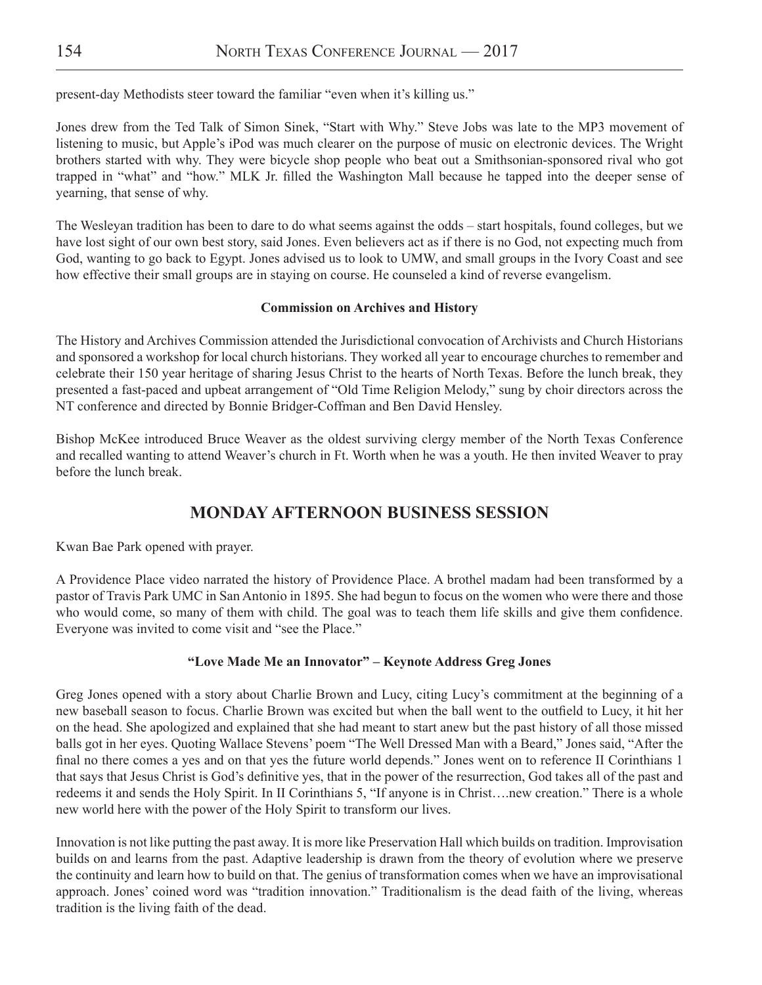present-day Methodists steer toward the familiar "even when it's killing us."

Jones drew from the Ted Talk of Simon Sinek, "Start with Why." Steve Jobs was late to the MP3 movement of listening to music, but Apple's iPod was much clearer on the purpose of music on electronic devices. The Wright brothers started with why. They were bicycle shop people who beat out a Smithsonian-sponsored rival who got trapped in "what" and "how." MLK Jr. filled the Washington Mall because he tapped into the deeper sense of yearning, that sense of why.

The Wesleyan tradition has been to dare to do what seems against the odds – start hospitals, found colleges, but we have lost sight of our own best story, said Jones. Even believers act as if there is no God, not expecting much from God, wanting to go back to Egypt. Jones advised us to look to UMW, and small groups in the Ivory Coast and see how effective their small groups are in staying on course. He counseled a kind of reverse evangelism.

### **Commission on Archives and History**

The History and Archives Commission attended the Jurisdictional convocation of Archivists and Church Historians and sponsored a workshop for local church historians. They worked all year to encourage churches to remember and celebrate their 150 year heritage of sharing Jesus Christ to the hearts of North Texas. Before the lunch break, they presented a fast-paced and upbeat arrangement of "Old Time Religion Melody," sung by choir directors across the NT conference and directed by Bonnie Bridger-Coffman and Ben David Hensley.

Bishop McKee introduced Bruce Weaver as the oldest surviving clergy member of the North Texas Conference and recalled wanting to attend Weaver's church in Ft. Worth when he was a youth. He then invited Weaver to pray before the lunch break.

# **MONDAY AFTERNOON BUSINESS SESSION**

Kwan Bae Park opened with prayer.

A Providence Place video narrated the history of Providence Place. A brothel madam had been transformed by a pastor of Travis Park UMC in San Antonio in 1895. She had begun to focus on the women who were there and those who would come, so many of them with child. The goal was to teach them life skills and give them confidence. Everyone was invited to come visit and "see the Place."

# **"Love Made Me an Innovator" – Keynote Address Greg Jones**

Greg Jones opened with a story about Charlie Brown and Lucy, citing Lucy's commitment at the beginning of a new baseball season to focus. Charlie Brown was excited but when the ball went to the outfield to Lucy, it hit her on the head. She apologized and explained that she had meant to start anew but the past history of all those missed balls got in her eyes. Quoting Wallace Stevens' poem "The Well Dressed Man with a Beard," Jones said, "After the final no there comes a yes and on that yes the future world depends." Jones went on to reference II Corinthians 1 that says that Jesus Christ is God's definitive yes, that in the power of the resurrection, God takes all of the past and redeems it and sends the Holy Spirit. In II Corinthians 5, "If anyone is in Christ….new creation." There is a whole new world here with the power of the Holy Spirit to transform our lives.

Innovation is not like putting the past away. It is more like Preservation Hall which builds on tradition. Improvisation builds on and learns from the past. Adaptive leadership is drawn from the theory of evolution where we preserve the continuity and learn how to build on that. The genius of transformation comes when we have an improvisational approach. Jones' coined word was "tradition innovation." Traditionalism is the dead faith of the living, whereas tradition is the living faith of the dead.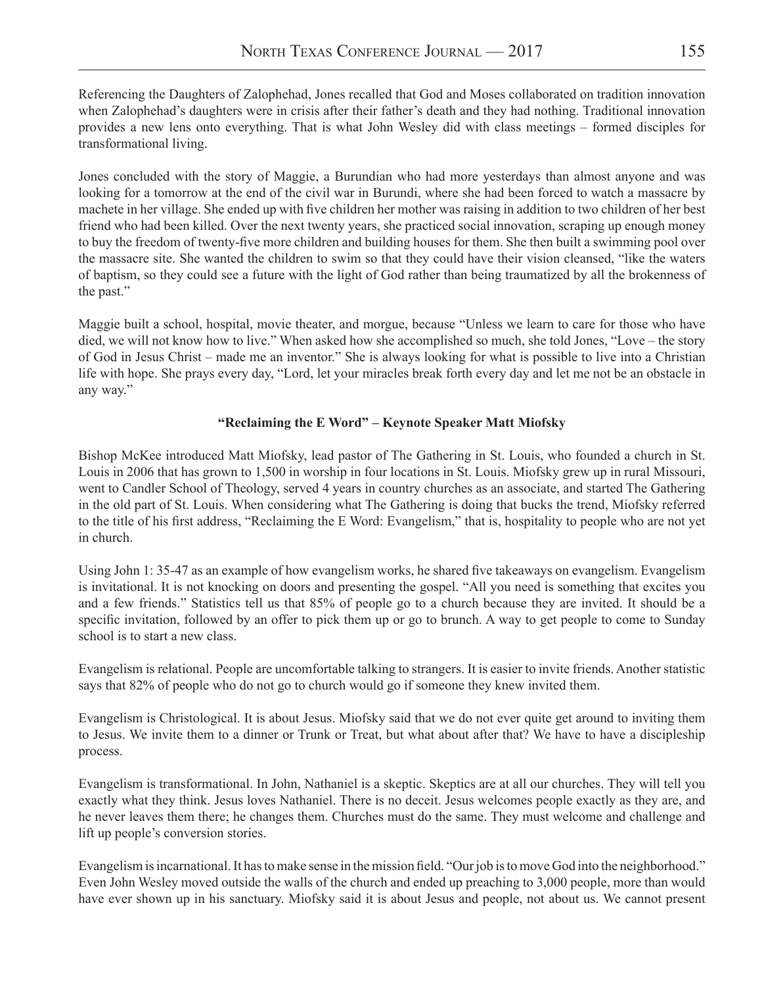Referencing the Daughters of Zalophehad, Jones recalled that God and Moses collaborated on tradition innovation when Zalophehad's daughters were in crisis after their father's death and they had nothing. Traditional innovation provides a new lens onto everything. That is what John Wesley did with class meetings – formed disciples for transformational living.

Jones concluded with the story of Maggie, a Burundian who had more yesterdays than almost anyone and was looking for a tomorrow at the end of the civil war in Burundi, where she had been forced to watch a massacre by machete in her village. She ended up with five children her mother was raising in addition to two children of her best friend who had been killed. Over the next twenty years, she practiced social innovation, scraping up enough money to buy the freedom of twenty-five more children and building houses for them. She then built a swimming pool over the massacre site. She wanted the children to swim so that they could have their vision cleansed, "like the waters of baptism, so they could see a future with the light of God rather than being traumatized by all the brokenness of the past."

Maggie built a school, hospital, movie theater, and morgue, because "Unless we learn to care for those who have died, we will not know how to live." When asked how she accomplished so much, she told Jones, "Love – the story of God in Jesus Christ – made me an inventor." She is always looking for what is possible to live into a Christian life with hope. She prays every day, "Lord, let your miracles break forth every day and let me not be an obstacle in any way."

# **"Reclaiming the E Word" – Keynote Speaker Matt Miofsky**

Bishop McKee introduced Matt Miofsky, lead pastor of The Gathering in St. Louis, who founded a church in St. Louis in 2006 that has grown to 1,500 in worship in four locations in St. Louis. Miofsky grew up in rural Missouri, went to Candler School of Theology, served 4 years in country churches as an associate, and started The Gathering in the old part of St. Louis. When considering what The Gathering is doing that bucks the trend, Miofsky referred to the title of his first address, "Reclaiming the E Word: Evangelism," that is, hospitality to people who are not yet in church.

Using John 1: 35-47 as an example of how evangelism works, he shared five takeaways on evangelism. Evangelism is invitational. It is not knocking on doors and presenting the gospel. "All you need is something that excites you and a few friends." Statistics tell us that 85% of people go to a church because they are invited. It should be a specific invitation, followed by an offer to pick them up or go to brunch. A way to get people to come to Sunday school is to start a new class.

Evangelism is relational. People are uncomfortable talking to strangers. It is easier to invite friends. Another statistic says that 82% of people who do not go to church would go if someone they knew invited them.

Evangelism is Christological. It is about Jesus. Miofsky said that we do not ever quite get around to inviting them to Jesus. We invite them to a dinner or Trunk or Treat, but what about after that? We have to have a discipleship process.

Evangelism is transformational. In John, Nathaniel is a skeptic. Skeptics are at all our churches. They will tell you exactly what they think. Jesus loves Nathaniel. There is no deceit. Jesus welcomes people exactly as they are, and he never leaves them there; he changes them. Churches must do the same. They must welcome and challenge and lift up people's conversion stories.

Evangelism is incarnational. It has to make sense in the mission field. "Our job is to move God into the neighborhood." Even John Wesley moved outside the walls of the church and ended up preaching to 3,000 people, more than would have ever shown up in his sanctuary. Miofsky said it is about Jesus and people, not about us. We cannot present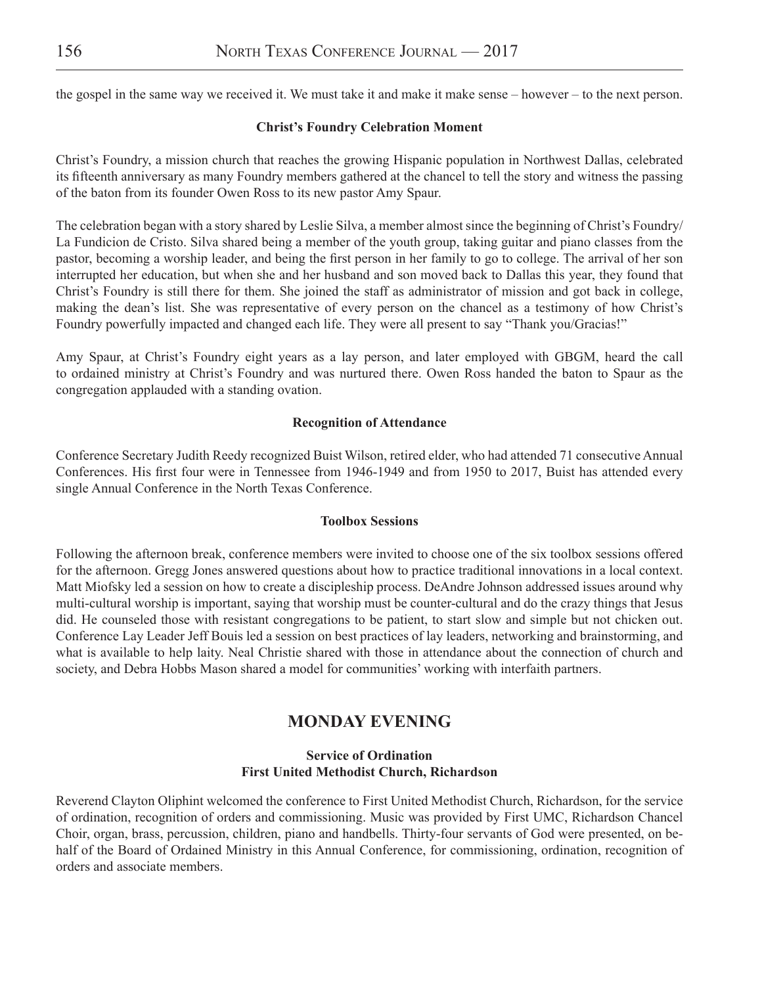the gospel in the same way we received it. We must take it and make it make sense – however – to the next person.

### **Christ's Foundry Celebration Moment**

Christ's Foundry, a mission church that reaches the growing Hispanic population in Northwest Dallas, celebrated its fifteenth anniversary as many Foundry members gathered at the chancel to tell the story and witness the passing of the baton from its founder Owen Ross to its new pastor Amy Spaur.

The celebration began with a story shared by Leslie Silva, a member almost since the beginning of Christ's Foundry/ La Fundicion de Cristo. Silva shared being a member of the youth group, taking guitar and piano classes from the pastor, becoming a worship leader, and being the first person in her family to go to college. The arrival of her son interrupted her education, but when she and her husband and son moved back to Dallas this year, they found that Christ's Foundry is still there for them. She joined the staff as administrator of mission and got back in college, making the dean's list. She was representative of every person on the chancel as a testimony of how Christ's Foundry powerfully impacted and changed each life. They were all present to say "Thank you/Gracias!"

Amy Spaur, at Christ's Foundry eight years as a lay person, and later employed with GBGM, heard the call to ordained ministry at Christ's Foundry and was nurtured there. Owen Ross handed the baton to Spaur as the congregation applauded with a standing ovation.

### **Recognition of Attendance**

Conference Secretary Judith Reedy recognized Buist Wilson, retired elder, who had attended 71 consecutive Annual Conferences. His first four were in Tennessee from 1946-1949 and from 1950 to 2017, Buist has attended every single Annual Conference in the North Texas Conference.

#### **Toolbox Sessions**

Following the afternoon break, conference members were invited to choose one of the six toolbox sessions offered for the afternoon. Gregg Jones answered questions about how to practice traditional innovations in a local context. Matt Miofsky led a session on how to create a discipleship process. DeAndre Johnson addressed issues around why multi-cultural worship is important, saying that worship must be counter-cultural and do the crazy things that Jesus did. He counseled those with resistant congregations to be patient, to start slow and simple but not chicken out. Conference Lay Leader Jeff Bouis led a session on best practices of lay leaders, networking and brainstorming, and what is available to help laity. Neal Christie shared with those in attendance about the connection of church and society, and Debra Hobbs Mason shared a model for communities' working with interfaith partners.

# **MONDAY EVENING**

### **Service of Ordination First United Methodist Church, Richardson**

Reverend Clayton Oliphint welcomed the conference to First United Methodist Church, Richardson, for the service of ordination, recognition of orders and commissioning. Music was provided by First UMC, Richardson Chancel Choir, organ, brass, percussion, children, piano and handbells. Thirty-four servants of God were presented, on behalf of the Board of Ordained Ministry in this Annual Conference, for commissioning, ordination, recognition of orders and associate members.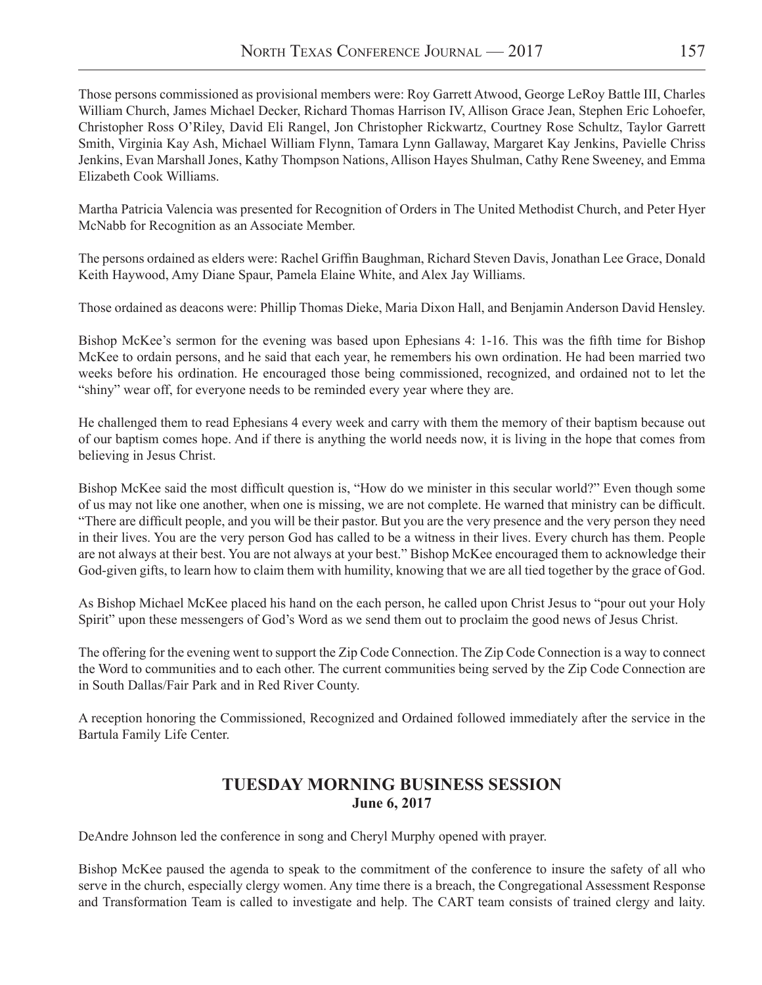Those persons commissioned as provisional members were: Roy Garrett Atwood, George LeRoy Battle III, Charles William Church, James Michael Decker, Richard Thomas Harrison IV, Allison Grace Jean, Stephen Eric Lohoefer, Christopher Ross O'Riley, David Eli Rangel, Jon Christopher Rickwartz, Courtney Rose Schultz, Taylor Garrett Smith, Virginia Kay Ash, Michael William Flynn, Tamara Lynn Gallaway, Margaret Kay Jenkins, Pavielle Chriss Jenkins, Evan Marshall Jones, Kathy Thompson Nations, Allison Hayes Shulman, Cathy Rene Sweeney, and Emma Elizabeth Cook Williams.

Martha Patricia Valencia was presented for Recognition of Orders in The United Methodist Church, and Peter Hyer McNabb for Recognition as an Associate Member.

The persons ordained as elders were: Rachel Griffin Baughman, Richard Steven Davis, Jonathan Lee Grace, Donald Keith Haywood, Amy Diane Spaur, Pamela Elaine White, and Alex Jay Williams.

Those ordained as deacons were: Phillip Thomas Dieke, Maria Dixon Hall, and Benjamin Anderson David Hensley.

Bishop McKee's sermon for the evening was based upon Ephesians 4: 1-16. This was the fifth time for Bishop McKee to ordain persons, and he said that each year, he remembers his own ordination. He had been married two weeks before his ordination. He encouraged those being commissioned, recognized, and ordained not to let the "shiny" wear off, for everyone needs to be reminded every year where they are.

He challenged them to read Ephesians 4 every week and carry with them the memory of their baptism because out of our baptism comes hope. And if there is anything the world needs now, it is living in the hope that comes from believing in Jesus Christ.

Bishop McKee said the most difficult question is, "How do we minister in this secular world?" Even though some of us may not like one another, when one is missing, we are not complete. He warned that ministry can be difficult. "There are difficult people, and you will be their pastor. But you are the very presence and the very person they need in their lives. You are the very person God has called to be a witness in their lives. Every church has them. People are not always at their best. You are not always at your best." Bishop McKee encouraged them to acknowledge their God-given gifts, to learn how to claim them with humility, knowing that we are all tied together by the grace of God.

As Bishop Michael McKee placed his hand on the each person, he called upon Christ Jesus to "pour out your Holy Spirit" upon these messengers of God's Word as we send them out to proclaim the good news of Jesus Christ.

The offering for the evening went to support the Zip Code Connection. The Zip Code Connection is a way to connect the Word to communities and to each other. The current communities being served by the Zip Code Connection are in South Dallas/Fair Park and in Red River County.

A reception honoring the Commissioned, Recognized and Ordained followed immediately after the service in the Bartula Family Life Center.

# **TUESDAY MORNING BUSINESS SESSION June 6, 2017**

DeAndre Johnson led the conference in song and Cheryl Murphy opened with prayer.

Bishop McKee paused the agenda to speak to the commitment of the conference to insure the safety of all who serve in the church, especially clergy women. Any time there is a breach, the Congregational Assessment Response and Transformation Team is called to investigate and help. The CART team consists of trained clergy and laity.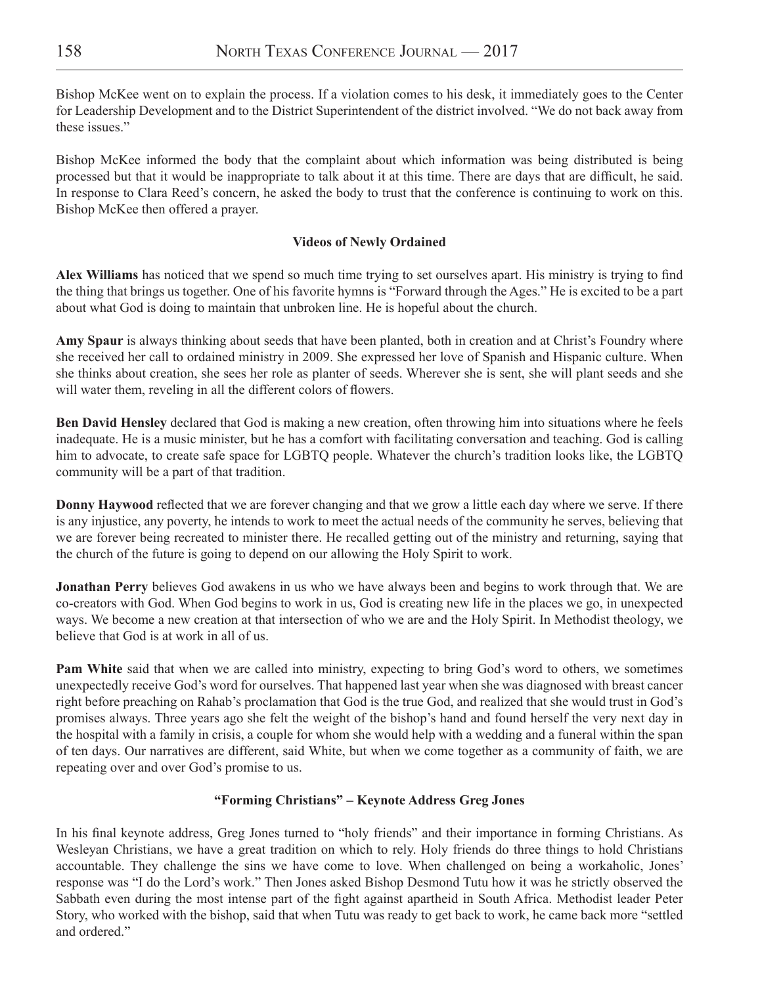Bishop McKee went on to explain the process. If a violation comes to his desk, it immediately goes to the Center for Leadership Development and to the District Superintendent of the district involved. "We do not back away from these issues."

Bishop McKee informed the body that the complaint about which information was being distributed is being processed but that it would be inappropriate to talk about it at this time. There are days that are difficult, he said. In response to Clara Reed's concern, he asked the body to trust that the conference is continuing to work on this. Bishop McKee then offered a prayer.

# **Videos of Newly Ordained**

**Alex Williams** has noticed that we spend so much time trying to set ourselves apart. His ministry is trying to find the thing that brings us together. One of his favorite hymns is "Forward through the Ages." He is excited to be a part about what God is doing to maintain that unbroken line. He is hopeful about the church.

**Amy Spaur** is always thinking about seeds that have been planted, both in creation and at Christ's Foundry where she received her call to ordained ministry in 2009. She expressed her love of Spanish and Hispanic culture. When she thinks about creation, she sees her role as planter of seeds. Wherever she is sent, she will plant seeds and she will water them, reveling in all the different colors of flowers.

**Ben David Hensley** declared that God is making a new creation, often throwing him into situations where he feels inadequate. He is a music minister, but he has a comfort with facilitating conversation and teaching. God is calling him to advocate, to create safe space for LGBTQ people. Whatever the church's tradition looks like, the LGBTQ community will be a part of that tradition.

**Donny Haywood** reflected that we are forever changing and that we grow a little each day where we serve. If there is any injustice, any poverty, he intends to work to meet the actual needs of the community he serves, believing that we are forever being recreated to minister there. He recalled getting out of the ministry and returning, saying that the church of the future is going to depend on our allowing the Holy Spirit to work.

**Jonathan Perry** believes God awakens in us who we have always been and begins to work through that. We are co-creators with God. When God begins to work in us, God is creating new life in the places we go, in unexpected ways. We become a new creation at that intersection of who we are and the Holy Spirit. In Methodist theology, we believe that God is at work in all of us.

**Pam White** said that when we are called into ministry, expecting to bring God's word to others, we sometimes unexpectedly receive God's word for ourselves. That happened last year when she was diagnosed with breast cancer right before preaching on Rahab's proclamation that God is the true God, and realized that she would trust in God's promises always. Three years ago she felt the weight of the bishop's hand and found herself the very next day in the hospital with a family in crisis, a couple for whom she would help with a wedding and a funeral within the span of ten days. Our narratives are different, said White, but when we come together as a community of faith, we are repeating over and over God's promise to us.

### **"Forming Christians" – Keynote Address Greg Jones**

In his final keynote address, Greg Jones turned to "holy friends" and their importance in forming Christians. As Wesleyan Christians, we have a great tradition on which to rely. Holy friends do three things to hold Christians accountable. They challenge the sins we have come to love. When challenged on being a workaholic, Jones' response was "I do the Lord's work." Then Jones asked Bishop Desmond Tutu how it was he strictly observed the Sabbath even during the most intense part of the fight against apartheid in South Africa. Methodist leader Peter Story, who worked with the bishop, said that when Tutu was ready to get back to work, he came back more "settled and ordered."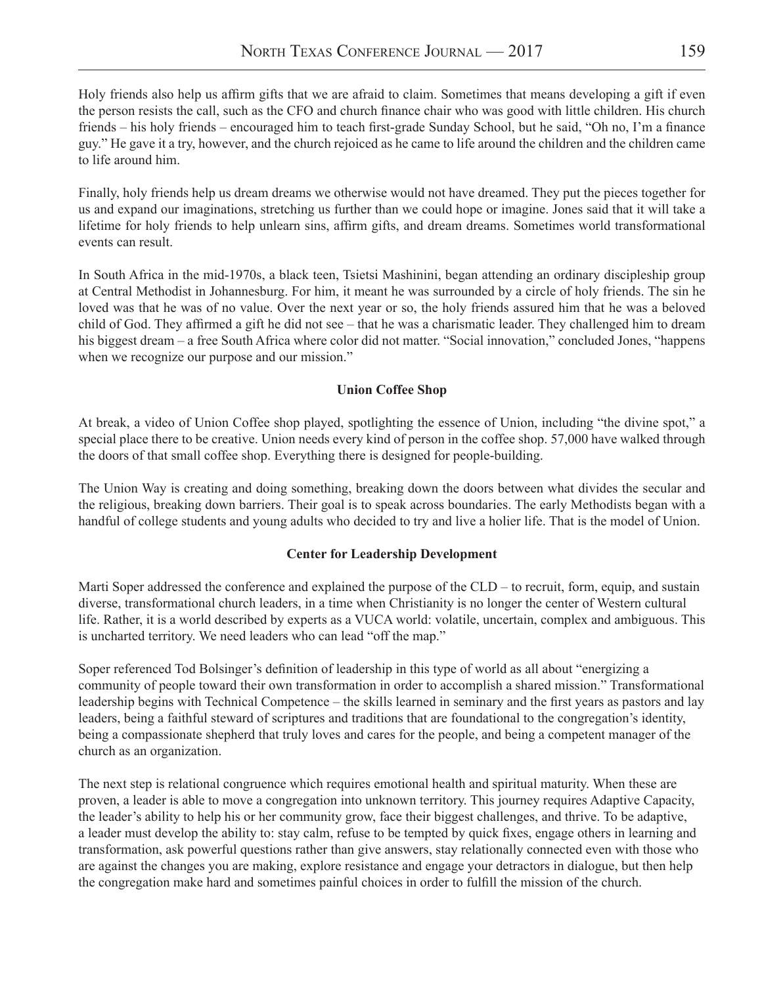Holy friends also help us affirm gifts that we are afraid to claim. Sometimes that means developing a gift if even the person resists the call, such as the CFO and church finance chair who was good with little children. His church friends – his holy friends – encouraged him to teach first-grade Sunday School, but he said, "Oh no, I'm a finance guy." He gave it a try, however, and the church rejoiced as he came to life around the children and the children came to life around him.

Finally, holy friends help us dream dreams we otherwise would not have dreamed. They put the pieces together for us and expand our imaginations, stretching us further than we could hope or imagine. Jones said that it will take a lifetime for holy friends to help unlearn sins, affirm gifts, and dream dreams. Sometimes world transformational events can result.

In South Africa in the mid-1970s, a black teen, Tsietsi Mashinini, began attending an ordinary discipleship group at Central Methodist in Johannesburg. For him, it meant he was surrounded by a circle of holy friends. The sin he loved was that he was of no value. Over the next year or so, the holy friends assured him that he was a beloved child of God. They affirmed a gift he did not see – that he was a charismatic leader. They challenged him to dream his biggest dream – a free South Africa where color did not matter. "Social innovation," concluded Jones, "happens when we recognize our purpose and our mission."

# **Union Coffee Shop**

At break, a video of Union Coffee shop played, spotlighting the essence of Union, including "the divine spot," a special place there to be creative. Union needs every kind of person in the coffee shop. 57,000 have walked through the doors of that small coffee shop. Everything there is designed for people-building.

The Union Way is creating and doing something, breaking down the doors between what divides the secular and the religious, breaking down barriers. Their goal is to speak across boundaries. The early Methodists began with a handful of college students and young adults who decided to try and live a holier life. That is the model of Union.

# **Center for Leadership Development**

Marti Soper addressed the conference and explained the purpose of the CLD – to recruit, form, equip, and sustain diverse, transformational church leaders, in a time when Christianity is no longer the center of Western cultural life. Rather, it is a world described by experts as a VUCA world: volatile, uncertain, complex and ambiguous. This is uncharted territory. We need leaders who can lead "off the map."

Soper referenced Tod Bolsinger's definition of leadership in this type of world as all about "energizing a community of people toward their own transformation in order to accomplish a shared mission." Transformational leadership begins with Technical Competence – the skills learned in seminary and the first years as pastors and lay leaders, being a faithful steward of scriptures and traditions that are foundational to the congregation's identity, being a compassionate shepherd that truly loves and cares for the people, and being a competent manager of the church as an organization.

The next step is relational congruence which requires emotional health and spiritual maturity. When these are proven, a leader is able to move a congregation into unknown territory. This journey requires Adaptive Capacity, the leader's ability to help his or her community grow, face their biggest challenges, and thrive. To be adaptive, a leader must develop the ability to: stay calm, refuse to be tempted by quick fixes, engage others in learning and transformation, ask powerful questions rather than give answers, stay relationally connected even with those who are against the changes you are making, explore resistance and engage your detractors in dialogue, but then help the congregation make hard and sometimes painful choices in order to fulfill the mission of the church.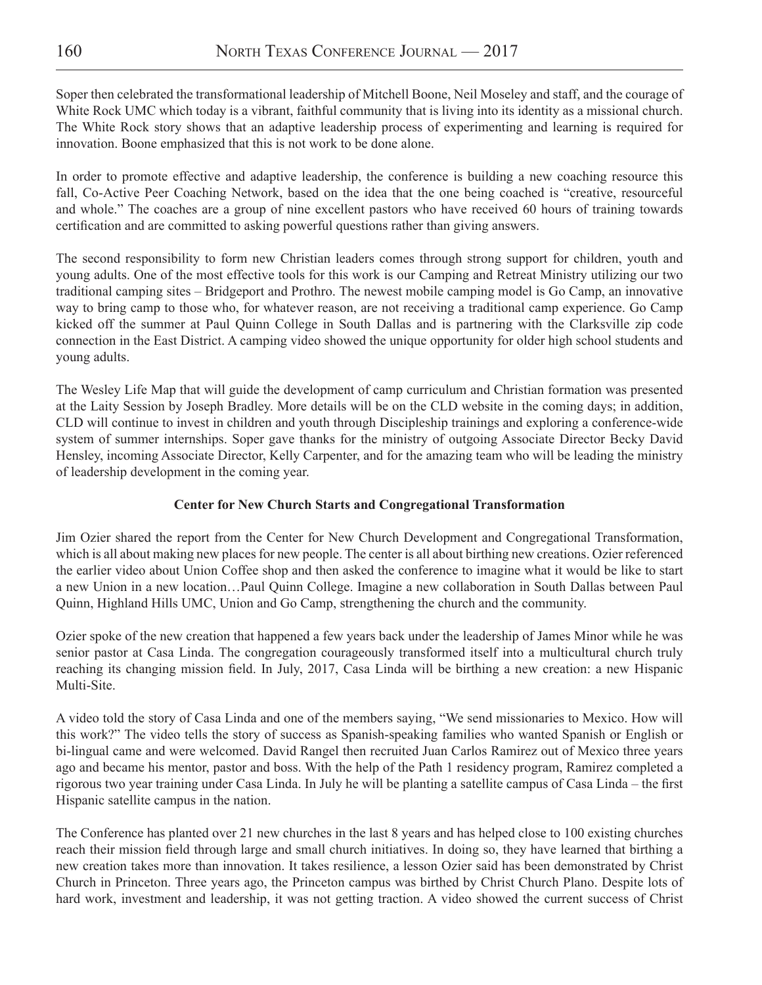Soper then celebrated the transformational leadership of Mitchell Boone, Neil Moseley and staff, and the courage of White Rock UMC which today is a vibrant, faithful community that is living into its identity as a missional church. The White Rock story shows that an adaptive leadership process of experimenting and learning is required for innovation. Boone emphasized that this is not work to be done alone.

In order to promote effective and adaptive leadership, the conference is building a new coaching resource this fall, Co-Active Peer Coaching Network, based on the idea that the one being coached is "creative, resourceful and whole." The coaches are a group of nine excellent pastors who have received 60 hours of training towards certification and are committed to asking powerful questions rather than giving answers.

The second responsibility to form new Christian leaders comes through strong support for children, youth and young adults. One of the most effective tools for this work is our Camping and Retreat Ministry utilizing our two traditional camping sites – Bridgeport and Prothro. The newest mobile camping model is Go Camp, an innovative way to bring camp to those who, for whatever reason, are not receiving a traditional camp experience. Go Camp kicked off the summer at Paul Quinn College in South Dallas and is partnering with the Clarksville zip code connection in the East District. A camping video showed the unique opportunity for older high school students and young adults.

The Wesley Life Map that will guide the development of camp curriculum and Christian formation was presented at the Laity Session by Joseph Bradley. More details will be on the CLD website in the coming days; in addition, CLD will continue to invest in children and youth through Discipleship trainings and exploring a conference-wide system of summer internships. Soper gave thanks for the ministry of outgoing Associate Director Becky David Hensley, incoming Associate Director, Kelly Carpenter, and for the amazing team who will be leading the ministry of leadership development in the coming year.

# **Center for New Church Starts and Congregational Transformation**

Jim Ozier shared the report from the Center for New Church Development and Congregational Transformation, which is all about making new places for new people. The center is all about birthing new creations. Ozier referenced the earlier video about Union Coffee shop and then asked the conference to imagine what it would be like to start a new Union in a new location…Paul Quinn College. Imagine a new collaboration in South Dallas between Paul Quinn, Highland Hills UMC, Union and Go Camp, strengthening the church and the community.

Ozier spoke of the new creation that happened a few years back under the leadership of James Minor while he was senior pastor at Casa Linda. The congregation courageously transformed itself into a multicultural church truly reaching its changing mission field. In July, 2017, Casa Linda will be birthing a new creation: a new Hispanic Multi-Site.

A video told the story of Casa Linda and one of the members saying, "We send missionaries to Mexico. How will this work?" The video tells the story of success as Spanish-speaking families who wanted Spanish or English or bi-lingual came and were welcomed. David Rangel then recruited Juan Carlos Ramirez out of Mexico three years ago and became his mentor, pastor and boss. With the help of the Path 1 residency program, Ramirez completed a rigorous two year training under Casa Linda. In July he will be planting a satellite campus of Casa Linda – the first Hispanic satellite campus in the nation.

The Conference has planted over 21 new churches in the last 8 years and has helped close to 100 existing churches reach their mission field through large and small church initiatives. In doing so, they have learned that birthing a new creation takes more than innovation. It takes resilience, a lesson Ozier said has been demonstrated by Christ Church in Princeton. Three years ago, the Princeton campus was birthed by Christ Church Plano. Despite lots of hard work, investment and leadership, it was not getting traction. A video showed the current success of Christ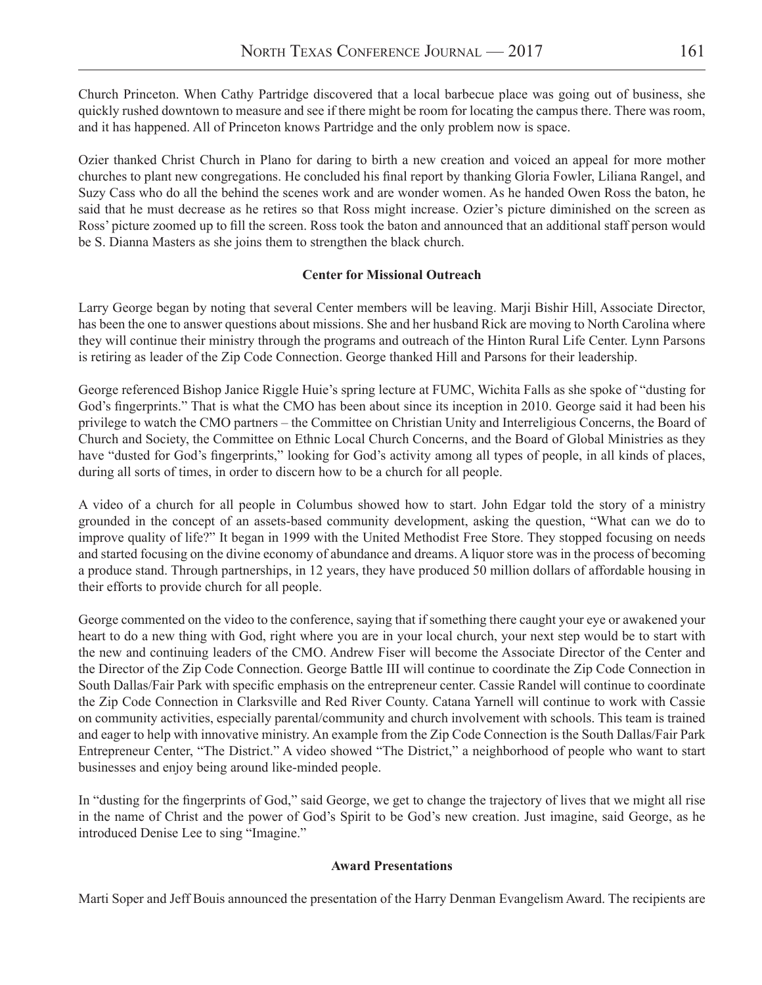Church Princeton. When Cathy Partridge discovered that a local barbecue place was going out of business, she quickly rushed downtown to measure and see if there might be room for locating the campus there. There was room, and it has happened. All of Princeton knows Partridge and the only problem now is space.

Ozier thanked Christ Church in Plano for daring to birth a new creation and voiced an appeal for more mother churches to plant new congregations. He concluded his final report by thanking Gloria Fowler, Liliana Rangel, and Suzy Cass who do all the behind the scenes work and are wonder women. As he handed Owen Ross the baton, he said that he must decrease as he retires so that Ross might increase. Ozier's picture diminished on the screen as Ross' picture zoomed up to fill the screen. Ross took the baton and announced that an additional staff person would be S. Dianna Masters as she joins them to strengthen the black church.

### **Center for Missional Outreach**

Larry George began by noting that several Center members will be leaving. Marji Bishir Hill, Associate Director, has been the one to answer questions about missions. She and her husband Rick are moving to North Carolina where they will continue their ministry through the programs and outreach of the Hinton Rural Life Center. Lynn Parsons is retiring as leader of the Zip Code Connection. George thanked Hill and Parsons for their leadership.

George referenced Bishop Janice Riggle Huie's spring lecture at FUMC, Wichita Falls as she spoke of "dusting for God's fingerprints." That is what the CMO has been about since its inception in 2010. George said it had been his privilege to watch the CMO partners – the Committee on Christian Unity and Interreligious Concerns, the Board of Church and Society, the Committee on Ethnic Local Church Concerns, and the Board of Global Ministries as they have "dusted for God's fingerprints," looking for God's activity among all types of people, in all kinds of places, during all sorts of times, in order to discern how to be a church for all people.

A video of a church for all people in Columbus showed how to start. John Edgar told the story of a ministry grounded in the concept of an assets-based community development, asking the question, "What can we do to improve quality of life?" It began in 1999 with the United Methodist Free Store. They stopped focusing on needs and started focusing on the divine economy of abundance and dreams. A liquor store was in the process of becoming a produce stand. Through partnerships, in 12 years, they have produced 50 million dollars of affordable housing in their efforts to provide church for all people.

George commented on the video to the conference, saying that if something there caught your eye or awakened your heart to do a new thing with God, right where you are in your local church, your next step would be to start with the new and continuing leaders of the CMO. Andrew Fiser will become the Associate Director of the Center and the Director of the Zip Code Connection. George Battle III will continue to coordinate the Zip Code Connection in South Dallas/Fair Park with specific emphasis on the entrepreneur center. Cassie Randel will continue to coordinate the Zip Code Connection in Clarksville and Red River County. Catana Yarnell will continue to work with Cassie on community activities, especially parental/community and church involvement with schools. This team is trained and eager to help with innovative ministry. An example from the Zip Code Connection is the South Dallas/Fair Park Entrepreneur Center, "The District." A video showed "The District," a neighborhood of people who want to start businesses and enjoy being around like-minded people.

In "dusting for the fingerprints of God," said George, we get to change the trajectory of lives that we might all rise in the name of Christ and the power of God's Spirit to be God's new creation. Just imagine, said George, as he introduced Denise Lee to sing "Imagine."

### **Award Presentations**

Marti Soper and Jeff Bouis announced the presentation of the Harry Denman Evangelism Award. The recipients are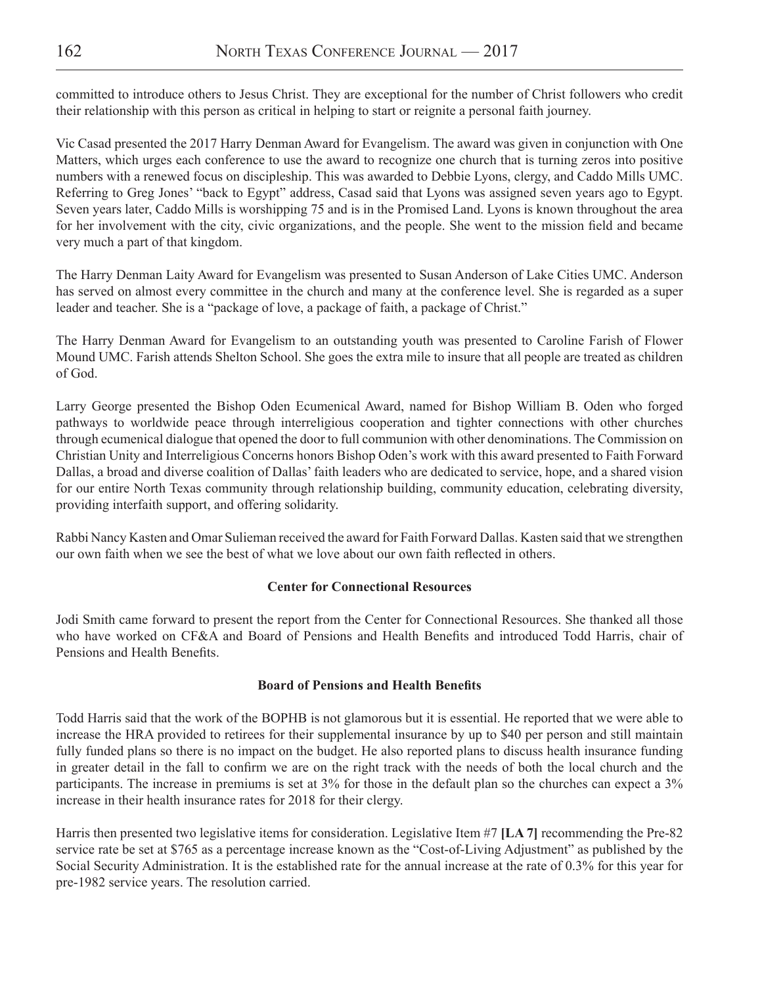committed to introduce others to Jesus Christ. They are exceptional for the number of Christ followers who credit their relationship with this person as critical in helping to start or reignite a personal faith journey.

Vic Casad presented the 2017 Harry Denman Award for Evangelism. The award was given in conjunction with One Matters, which urges each conference to use the award to recognize one church that is turning zeros into positive numbers with a renewed focus on discipleship. This was awarded to Debbie Lyons, clergy, and Caddo Mills UMC. Referring to Greg Jones' "back to Egypt" address, Casad said that Lyons was assigned seven years ago to Egypt. Seven years later, Caddo Mills is worshipping 75 and is in the Promised Land. Lyons is known throughout the area for her involvement with the city, civic organizations, and the people. She went to the mission field and became very much a part of that kingdom.

The Harry Denman Laity Award for Evangelism was presented to Susan Anderson of Lake Cities UMC. Anderson has served on almost every committee in the church and many at the conference level. She is regarded as a super leader and teacher. She is a "package of love, a package of faith, a package of Christ."

The Harry Denman Award for Evangelism to an outstanding youth was presented to Caroline Farish of Flower Mound UMC. Farish attends Shelton School. She goes the extra mile to insure that all people are treated as children of God.

Larry George presented the Bishop Oden Ecumenical Award, named for Bishop William B. Oden who forged pathways to worldwide peace through interreligious cooperation and tighter connections with other churches through ecumenical dialogue that opened the door to full communion with other denominations. The Commission on Christian Unity and Interreligious Concerns honors Bishop Oden's work with this award presented to Faith Forward Dallas, a broad and diverse coalition of Dallas' faith leaders who are dedicated to service, hope, and a shared vision for our entire North Texas community through relationship building, community education, celebrating diversity, providing interfaith support, and offering solidarity.

Rabbi Nancy Kasten and Omar Sulieman received the award for Faith Forward Dallas. Kasten said that we strengthen our own faith when we see the best of what we love about our own faith reflected in others.

# **Center for Connectional Resources**

Jodi Smith came forward to present the report from the Center for Connectional Resources. She thanked all those who have worked on CF&A and Board of Pensions and Health Benefits and introduced Todd Harris, chair of Pensions and Health Benefits.

### **Board of Pensions and Health Benefits**

Todd Harris said that the work of the BOPHB is not glamorous but it is essential. He reported that we were able to increase the HRA provided to retirees for their supplemental insurance by up to \$40 per person and still maintain fully funded plans so there is no impact on the budget. He also reported plans to discuss health insurance funding in greater detail in the fall to confirm we are on the right track with the needs of both the local church and the participants. The increase in premiums is set at 3% for those in the default plan so the churches can expect a 3% increase in their health insurance rates for 2018 for their clergy.

Harris then presented two legislative items for consideration. Legislative Item #7 **[LA 7]** recommending the Pre-82 service rate be set at \$765 as a percentage increase known as the "Cost-of-Living Adjustment" as published by the Social Security Administration. It is the established rate for the annual increase at the rate of 0.3% for this year for pre-1982 service years. The resolution carried.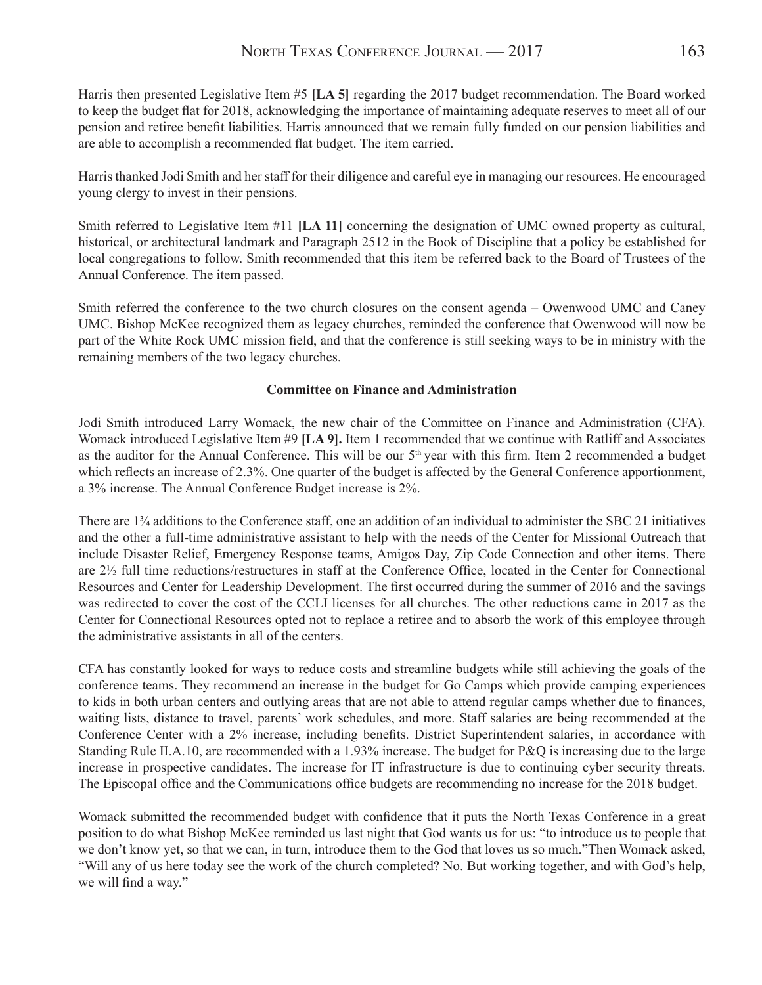Harris then presented Legislative Item #5 **[LA 5]** regarding the 2017 budget recommendation. The Board worked to keep the budget flat for 2018, acknowledging the importance of maintaining adequate reserves to meet all of our pension and retiree benefit liabilities. Harris announced that we remain fully funded on our pension liabilities and are able to accomplish a recommended flat budget. The item carried.

Harris thanked Jodi Smith and her staff for their diligence and careful eye in managing our resources. He encouraged young clergy to invest in their pensions.

Smith referred to Legislative Item #11 **[LA 11]** concerning the designation of UMC owned property as cultural, historical, or architectural landmark and Paragraph 2512 in the Book of Discipline that a policy be established for local congregations to follow. Smith recommended that this item be referred back to the Board of Trustees of the Annual Conference. The item passed.

Smith referred the conference to the two church closures on the consent agenda – Owenwood UMC and Caney UMC. Bishop McKee recognized them as legacy churches, reminded the conference that Owenwood will now be part of the White Rock UMC mission field, and that the conference is still seeking ways to be in ministry with the remaining members of the two legacy churches.

### **Committee on Finance and Administration**

Jodi Smith introduced Larry Womack, the new chair of the Committee on Finance and Administration (CFA). Womack introduced Legislative Item #9 **[LA 9].** Item 1 recommended that we continue with Ratliff and Associates as the auditor for the Annual Conference. This will be our 5<sup>th</sup> year with this firm. Item 2 recommended a budget which reflects an increase of 2.3%. One quarter of the budget is affected by the General Conference apportionment, a 3% increase. The Annual Conference Budget increase is 2%.

There are 1¾ additions to the Conference staff, one an addition of an individual to administer the SBC 21 initiatives and the other a full-time administrative assistant to help with the needs of the Center for Missional Outreach that include Disaster Relief, Emergency Response teams, Amigos Day, Zip Code Connection and other items. There are 2½ full time reductions/restructures in staff at the Conference Office, located in the Center for Connectional Resources and Center for Leadership Development. The first occurred during the summer of 2016 and the savings was redirected to cover the cost of the CCLI licenses for all churches. The other reductions came in 2017 as the Center for Connectional Resources opted not to replace a retiree and to absorb the work of this employee through the administrative assistants in all of the centers.

CFA has constantly looked for ways to reduce costs and streamline budgets while still achieving the goals of the conference teams. They recommend an increase in the budget for Go Camps which provide camping experiences to kids in both urban centers and outlying areas that are not able to attend regular camps whether due to finances, waiting lists, distance to travel, parents' work schedules, and more. Staff salaries are being recommended at the Conference Center with a 2% increase, including benefits. District Superintendent salaries, in accordance with Standing Rule II.A.10, are recommended with a 1.93% increase. The budget for P&Q is increasing due to the large increase in prospective candidates. The increase for IT infrastructure is due to continuing cyber security threats. The Episcopal office and the Communications office budgets are recommending no increase for the 2018 budget.

Womack submitted the recommended budget with confidence that it puts the North Texas Conference in a great position to do what Bishop McKee reminded us last night that God wants us for us: "to introduce us to people that we don't know yet, so that we can, in turn, introduce them to the God that loves us so much."Then Womack asked, "Will any of us here today see the work of the church completed? No. But working together, and with God's help, we will find a way."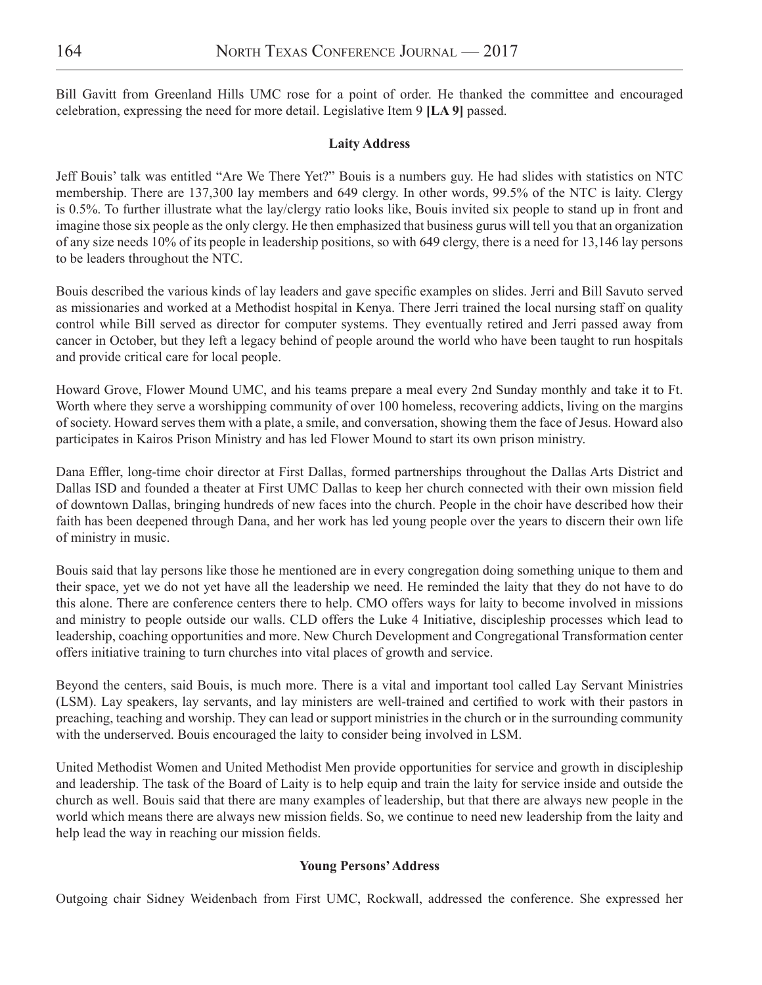Bill Gavitt from Greenland Hills UMC rose for a point of order. He thanked the committee and encouraged celebration, expressing the need for more detail. Legislative Item 9 **[LA 9]** passed.

### **Laity Address**

Jeff Bouis' talk was entitled "Are We There Yet?" Bouis is a numbers guy. He had slides with statistics on NTC membership. There are 137,300 lay members and 649 clergy. In other words, 99.5% of the NTC is laity. Clergy is 0.5%. To further illustrate what the lay/clergy ratio looks like, Bouis invited six people to stand up in front and imagine those six people as the only clergy. He then emphasized that business gurus will tell you that an organization of any size needs 10% of its people in leadership positions, so with 649 clergy, there is a need for 13,146 lay persons to be leaders throughout the NTC.

Bouis described the various kinds of lay leaders and gave specific examples on slides. Jerri and Bill Savuto served as missionaries and worked at a Methodist hospital in Kenya. There Jerri trained the local nursing staff on quality control while Bill served as director for computer systems. They eventually retired and Jerri passed away from cancer in October, but they left a legacy behind of people around the world who have been taught to run hospitals and provide critical care for local people.

Howard Grove, Flower Mound UMC, and his teams prepare a meal every 2nd Sunday monthly and take it to Ft. Worth where they serve a worshipping community of over 100 homeless, recovering addicts, living on the margins of society. Howard serves them with a plate, a smile, and conversation, showing them the face of Jesus. Howard also participates in Kairos Prison Ministry and has led Flower Mound to start its own prison ministry.

Dana Effler, long-time choir director at First Dallas, formed partnerships throughout the Dallas Arts District and Dallas ISD and founded a theater at First UMC Dallas to keep her church connected with their own mission field of downtown Dallas, bringing hundreds of new faces into the church. People in the choir have described how their faith has been deepened through Dana, and her work has led young people over the years to discern their own life of ministry in music.

Bouis said that lay persons like those he mentioned are in every congregation doing something unique to them and their space, yet we do not yet have all the leadership we need. He reminded the laity that they do not have to do this alone. There are conference centers there to help. CMO offers ways for laity to become involved in missions and ministry to people outside our walls. CLD offers the Luke 4 Initiative, discipleship processes which lead to leadership, coaching opportunities and more. New Church Development and Congregational Transformation center offers initiative training to turn churches into vital places of growth and service.

Beyond the centers, said Bouis, is much more. There is a vital and important tool called Lay Servant Ministries (LSM). Lay speakers, lay servants, and lay ministers are well-trained and certified to work with their pastors in preaching, teaching and worship. They can lead or support ministries in the church or in the surrounding community with the underserved. Bouis encouraged the laity to consider being involved in LSM.

United Methodist Women and United Methodist Men provide opportunities for service and growth in discipleship and leadership. The task of the Board of Laity is to help equip and train the laity for service inside and outside the church as well. Bouis said that there are many examples of leadership, but that there are always new people in the world which means there are always new mission fields. So, we continue to need new leadership from the laity and help lead the way in reaching our mission fields.

# **Young Persons' Address**

Outgoing chair Sidney Weidenbach from First UMC, Rockwall, addressed the conference. She expressed her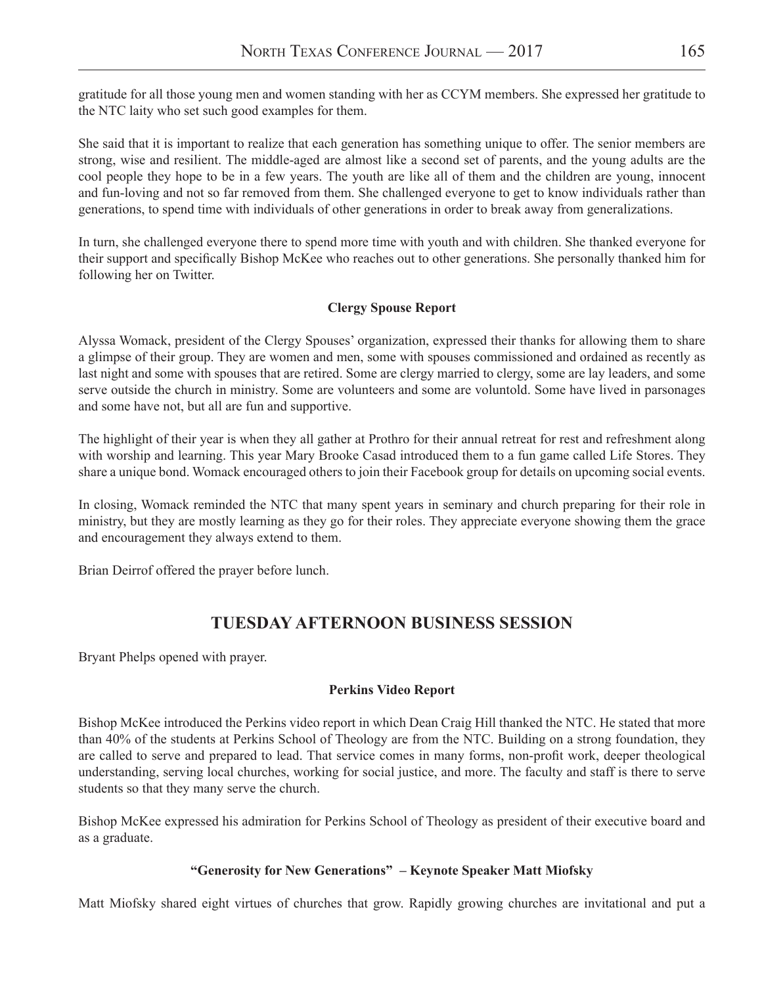gratitude for all those young men and women standing with her as CCYM members. She expressed her gratitude to the NTC laity who set such good examples for them.

She said that it is important to realize that each generation has something unique to offer. The senior members are strong, wise and resilient. The middle-aged are almost like a second set of parents, and the young adults are the cool people they hope to be in a few years. The youth are like all of them and the children are young, innocent and fun-loving and not so far removed from them. She challenged everyone to get to know individuals rather than generations, to spend time with individuals of other generations in order to break away from generalizations.

In turn, she challenged everyone there to spend more time with youth and with children. She thanked everyone for their support and specifically Bishop McKee who reaches out to other generations. She personally thanked him for following her on Twitter.

# **Clergy Spouse Report**

Alyssa Womack, president of the Clergy Spouses' organization, expressed their thanks for allowing them to share a glimpse of their group. They are women and men, some with spouses commissioned and ordained as recently as last night and some with spouses that are retired. Some are clergy married to clergy, some are lay leaders, and some serve outside the church in ministry. Some are volunteers and some are voluntold. Some have lived in parsonages and some have not, but all are fun and supportive.

The highlight of their year is when they all gather at Prothro for their annual retreat for rest and refreshment along with worship and learning. This year Mary Brooke Casad introduced them to a fun game called Life Stores. They share a unique bond. Womack encouraged others to join their Facebook group for details on upcoming social events.

In closing, Womack reminded the NTC that many spent years in seminary and church preparing for their role in ministry, but they are mostly learning as they go for their roles. They appreciate everyone showing them the grace and encouragement they always extend to them.

Brian Deirrof offered the prayer before lunch.

# **TUESDAY AFTERNOON BUSINESS SESSION**

Bryant Phelps opened with prayer.

# **Perkins Video Report**

Bishop McKee introduced the Perkins video report in which Dean Craig Hill thanked the NTC. He stated that more than 40% of the students at Perkins School of Theology are from the NTC. Building on a strong foundation, they are called to serve and prepared to lead. That service comes in many forms, non-profit work, deeper theological understanding, serving local churches, working for social justice, and more. The faculty and staff is there to serve students so that they many serve the church.

Bishop McKee expressed his admiration for Perkins School of Theology as president of their executive board and as a graduate.

# **"Generosity for New Generations" – Keynote Speaker Matt Miofsky**

Matt Miofsky shared eight virtues of churches that grow. Rapidly growing churches are invitational and put a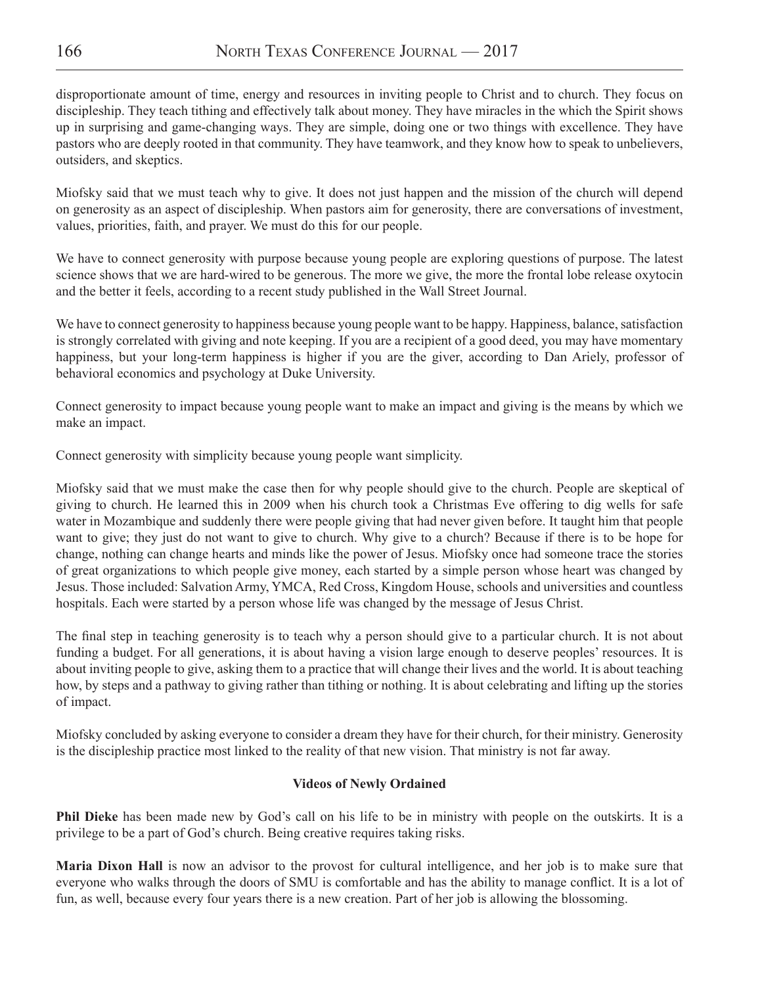disproportionate amount of time, energy and resources in inviting people to Christ and to church. They focus on discipleship. They teach tithing and effectively talk about money. They have miracles in the which the Spirit shows up in surprising and game-changing ways. They are simple, doing one or two things with excellence. They have pastors who are deeply rooted in that community. They have teamwork, and they know how to speak to unbelievers, outsiders, and skeptics.

Miofsky said that we must teach why to give. It does not just happen and the mission of the church will depend on generosity as an aspect of discipleship. When pastors aim for generosity, there are conversations of investment, values, priorities, faith, and prayer. We must do this for our people.

We have to connect generosity with purpose because young people are exploring questions of purpose. The latest science shows that we are hard-wired to be generous. The more we give, the more the frontal lobe release oxytocin and the better it feels, according to a recent study published in the Wall Street Journal.

We have to connect generosity to happiness because young people want to be happy. Happiness, balance, satisfaction is strongly correlated with giving and note keeping. If you are a recipient of a good deed, you may have momentary happiness, but your long-term happiness is higher if you are the giver, according to Dan Ariely, professor of behavioral economics and psychology at Duke University.

Connect generosity to impact because young people want to make an impact and giving is the means by which we make an impact.

Connect generosity with simplicity because young people want simplicity.

Miofsky said that we must make the case then for why people should give to the church. People are skeptical of giving to church. He learned this in 2009 when his church took a Christmas Eve offering to dig wells for safe water in Mozambique and suddenly there were people giving that had never given before. It taught him that people want to give; they just do not want to give to church. Why give to a church? Because if there is to be hope for change, nothing can change hearts and minds like the power of Jesus. Miofsky once had someone trace the stories of great organizations to which people give money, each started by a simple person whose heart was changed by Jesus. Those included: Salvation Army, YMCA, Red Cross, Kingdom House, schools and universities and countless hospitals. Each were started by a person whose life was changed by the message of Jesus Christ.

The final step in teaching generosity is to teach why a person should give to a particular church. It is not about funding a budget. For all generations, it is about having a vision large enough to deserve peoples' resources. It is about inviting people to give, asking them to a practice that will change their lives and the world. It is about teaching how, by steps and a pathway to giving rather than tithing or nothing. It is about celebrating and lifting up the stories of impact.

Miofsky concluded by asking everyone to consider a dream they have for their church, for their ministry. Generosity is the discipleship practice most linked to the reality of that new vision. That ministry is not far away.

# **Videos of Newly Ordained**

**Phil Dieke** has been made new by God's call on his life to be in ministry with people on the outskirts. It is a privilege to be a part of God's church. Being creative requires taking risks.

**Maria Dixon Hall** is now an advisor to the provost for cultural intelligence, and her job is to make sure that everyone who walks through the doors of SMU is comfortable and has the ability to manage conflict. It is a lot of fun, as well, because every four years there is a new creation. Part of her job is allowing the blossoming.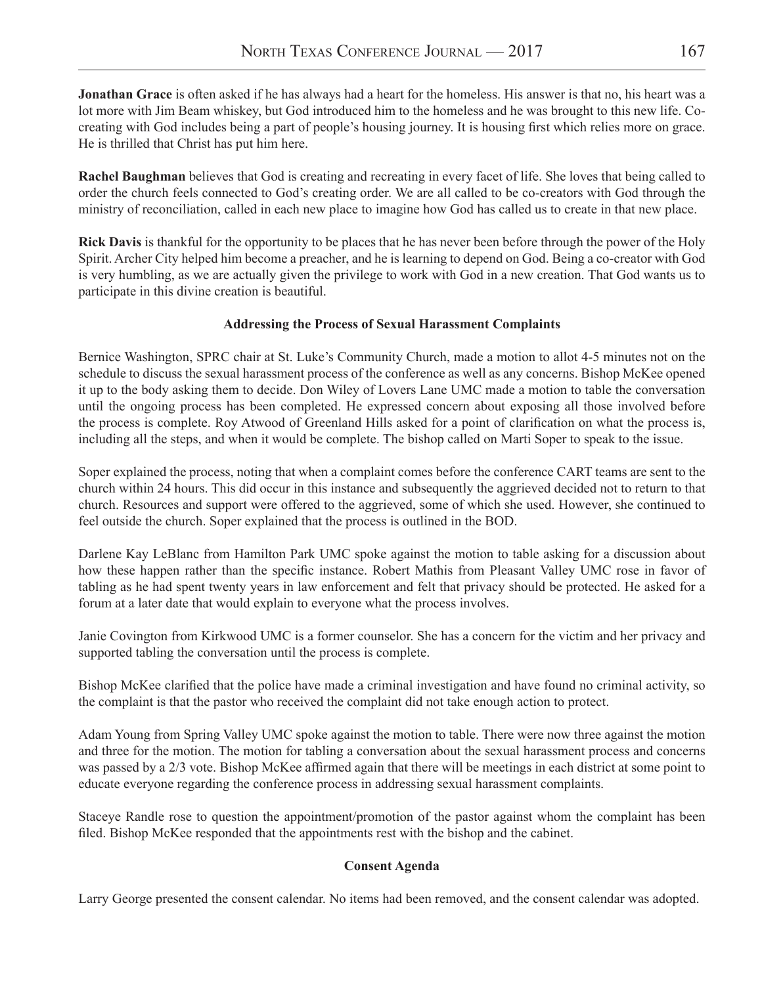**Jonathan Grace** is often asked if he has always had a heart for the homeless. His answer is that no, his heart was a lot more with Jim Beam whiskey, but God introduced him to the homeless and he was brought to this new life. Cocreating with God includes being a part of people's housing journey. It is housing first which relies more on grace. He is thrilled that Christ has put him here.

**Rachel Baughman** believes that God is creating and recreating in every facet of life. She loves that being called to order the church feels connected to God's creating order. We are all called to be co-creators with God through the ministry of reconciliation, called in each new place to imagine how God has called us to create in that new place.

**Rick Davis** is thankful for the opportunity to be places that he has never been before through the power of the Holy Spirit. Archer City helped him become a preacher, and he is learning to depend on God. Being a co-creator with God is very humbling, as we are actually given the privilege to work with God in a new creation. That God wants us to participate in this divine creation is beautiful.

# **Addressing the Process of Sexual Harassment Complaints**

Bernice Washington, SPRC chair at St. Luke's Community Church, made a motion to allot 4-5 minutes not on the schedule to discuss the sexual harassment process of the conference as well as any concerns. Bishop McKee opened it up to the body asking them to decide. Don Wiley of Lovers Lane UMC made a motion to table the conversation until the ongoing process has been completed. He expressed concern about exposing all those involved before the process is complete. Roy Atwood of Greenland Hills asked for a point of clarification on what the process is, including all the steps, and when it would be complete. The bishop called on Marti Soper to speak to the issue.

Soper explained the process, noting that when a complaint comes before the conference CART teams are sent to the church within 24 hours. This did occur in this instance and subsequently the aggrieved decided not to return to that church. Resources and support were offered to the aggrieved, some of which she used. However, she continued to feel outside the church. Soper explained that the process is outlined in the BOD.

Darlene Kay LeBlanc from Hamilton Park UMC spoke against the motion to table asking for a discussion about how these happen rather than the specific instance. Robert Mathis from Pleasant Valley UMC rose in favor of tabling as he had spent twenty years in law enforcement and felt that privacy should be protected. He asked for a forum at a later date that would explain to everyone what the process involves.

Janie Covington from Kirkwood UMC is a former counselor. She has a concern for the victim and her privacy and supported tabling the conversation until the process is complete.

Bishop McKee clarified that the police have made a criminal investigation and have found no criminal activity, so the complaint is that the pastor who received the complaint did not take enough action to protect.

Adam Young from Spring Valley UMC spoke against the motion to table. There were now three against the motion and three for the motion. The motion for tabling a conversation about the sexual harassment process and concerns was passed by a 2/3 vote. Bishop McKee affirmed again that there will be meetings in each district at some point to educate everyone regarding the conference process in addressing sexual harassment complaints.

Staceye Randle rose to question the appointment/promotion of the pastor against whom the complaint has been filed. Bishop McKee responded that the appointments rest with the bishop and the cabinet.

# **Consent Agenda**

Larry George presented the consent calendar. No items had been removed, and the consent calendar was adopted.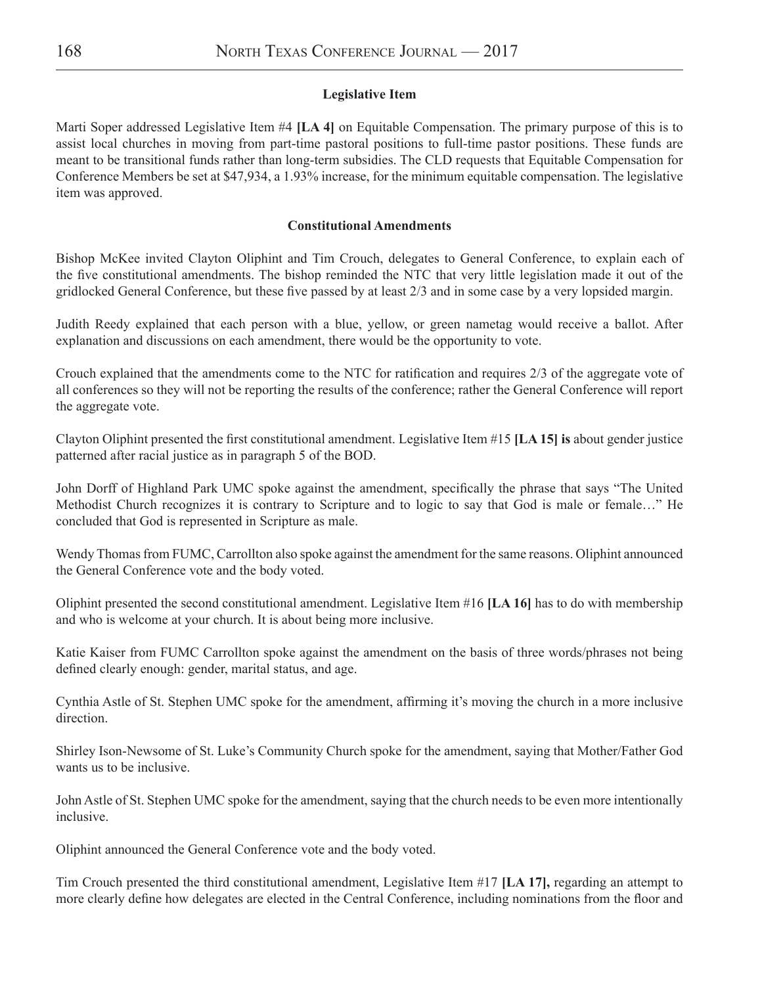# **Legislative Item**

Marti Soper addressed Legislative Item #4 **[LA 4]** on Equitable Compensation. The primary purpose of this is to assist local churches in moving from part-time pastoral positions to full-time pastor positions. These funds are meant to be transitional funds rather than long-term subsidies. The CLD requests that Equitable Compensation for Conference Members be set at \$47,934, a 1.93% increase, for the minimum equitable compensation. The legislative item was approved.

# **Constitutional Amendments**

Bishop McKee invited Clayton Oliphint and Tim Crouch, delegates to General Conference, to explain each of the five constitutional amendments. The bishop reminded the NTC that very little legislation made it out of the gridlocked General Conference, but these five passed by at least 2/3 and in some case by a very lopsided margin.

Judith Reedy explained that each person with a blue, yellow, or green nametag would receive a ballot. After explanation and discussions on each amendment, there would be the opportunity to vote.

Crouch explained that the amendments come to the NTC for ratification and requires 2/3 of the aggregate vote of all conferences so they will not be reporting the results of the conference; rather the General Conference will report the aggregate vote.

Clayton Oliphint presented the first constitutional amendment. Legislative Item #15 **[LA 15] is** about gender justice patterned after racial justice as in paragraph 5 of the BOD.

John Dorff of Highland Park UMC spoke against the amendment, specifically the phrase that says "The United Methodist Church recognizes it is contrary to Scripture and to logic to say that God is male or female…" He concluded that God is represented in Scripture as male.

Wendy Thomas from FUMC, Carrollton also spoke against the amendment for the same reasons. Oliphint announced the General Conference vote and the body voted.

Oliphint presented the second constitutional amendment. Legislative Item #16 **[LA 16]** has to do with membership and who is welcome at your church. It is about being more inclusive.

Katie Kaiser from FUMC Carrollton spoke against the amendment on the basis of three words/phrases not being defined clearly enough: gender, marital status, and age.

Cynthia Astle of St. Stephen UMC spoke for the amendment, affirming it's moving the church in a more inclusive direction.

Shirley Ison-Newsome of St. Luke's Community Church spoke for the amendment, saying that Mother/Father God wants us to be inclusive.

John Astle of St. Stephen UMC spoke for the amendment, saying that the church needs to be even more intentionally inclusive.

Oliphint announced the General Conference vote and the body voted.

Tim Crouch presented the third constitutional amendment, Legislative Item #17 **[LA 17],** regarding an attempt to more clearly define how delegates are elected in the Central Conference, including nominations from the floor and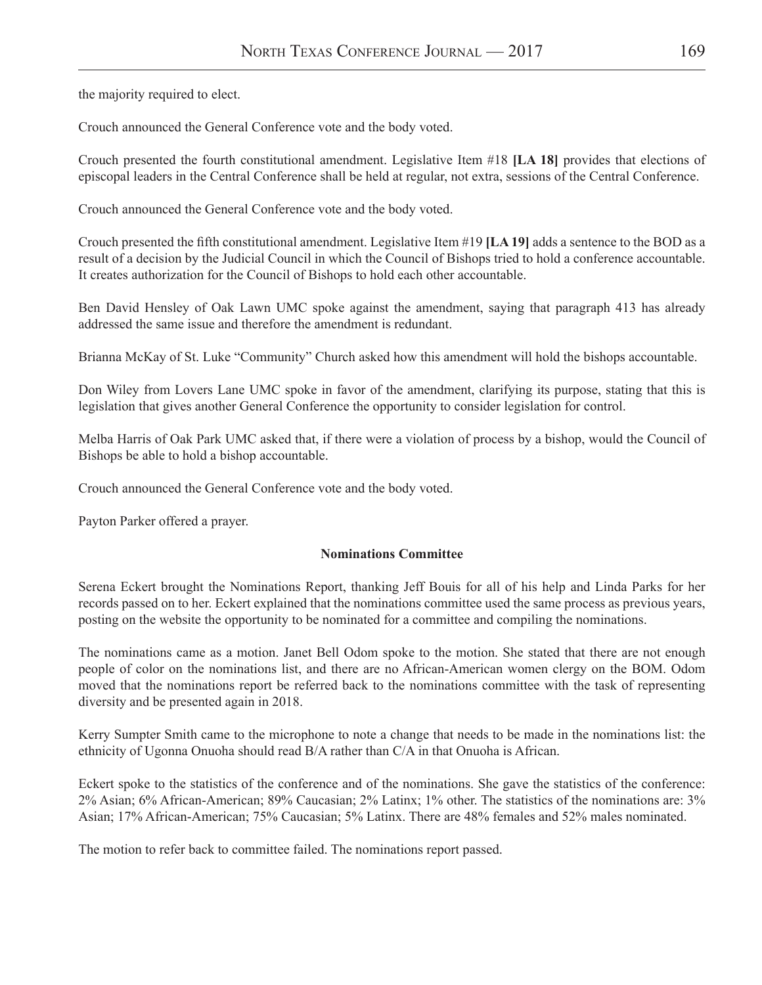the majority required to elect.

Crouch announced the General Conference vote and the body voted.

Crouch presented the fourth constitutional amendment. Legislative Item #18 **[LA 18]** provides that elections of episcopal leaders in the Central Conference shall be held at regular, not extra, sessions of the Central Conference.

Crouch announced the General Conference vote and the body voted.

Crouch presented the fifth constitutional amendment. Legislative Item #19 **[LA 19]** adds a sentence to the BOD as a result of a decision by the Judicial Council in which the Council of Bishops tried to hold a conference accountable. It creates authorization for the Council of Bishops to hold each other accountable.

Ben David Hensley of Oak Lawn UMC spoke against the amendment, saying that paragraph 413 has already addressed the same issue and therefore the amendment is redundant.

Brianna McKay of St. Luke "Community" Church asked how this amendment will hold the bishops accountable.

Don Wiley from Lovers Lane UMC spoke in favor of the amendment, clarifying its purpose, stating that this is legislation that gives another General Conference the opportunity to consider legislation for control.

Melba Harris of Oak Park UMC asked that, if there were a violation of process by a bishop, would the Council of Bishops be able to hold a bishop accountable.

Crouch announced the General Conference vote and the body voted.

Payton Parker offered a prayer.

### **Nominations Committee**

Serena Eckert brought the Nominations Report, thanking Jeff Bouis for all of his help and Linda Parks for her records passed on to her. Eckert explained that the nominations committee used the same process as previous years, posting on the website the opportunity to be nominated for a committee and compiling the nominations.

The nominations came as a motion. Janet Bell Odom spoke to the motion. She stated that there are not enough people of color on the nominations list, and there are no African-American women clergy on the BOM. Odom moved that the nominations report be referred back to the nominations committee with the task of representing diversity and be presented again in 2018.

Kerry Sumpter Smith came to the microphone to note a change that needs to be made in the nominations list: the ethnicity of Ugonna Onuoha should read B/A rather than C/A in that Onuoha is African.

Eckert spoke to the statistics of the conference and of the nominations. She gave the statistics of the conference: 2% Asian; 6% African-American; 89% Caucasian; 2% Latinx; 1% other. The statistics of the nominations are: 3% Asian; 17% African-American; 75% Caucasian; 5% Latinx. There are 48% females and 52% males nominated.

The motion to refer back to committee failed. The nominations report passed.